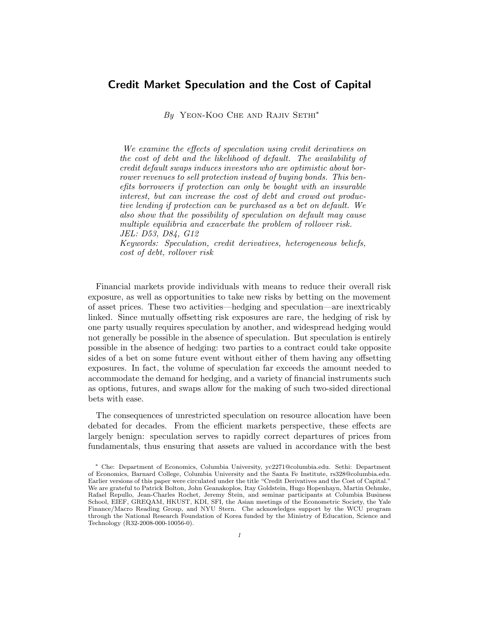# Credit Market Speculation and the Cost of Capital

 $By$  Yeon-Koo Che and Rajiv Sethi<sup>\*</sup>

We examine the effects of speculation using credit derivatives on the cost of debt and the likelihood of default. The availability of credit default swaps induces investors who are optimistic about borrower revenues to sell protection instead of buying bonds. This benefits borrowers if protection can only be bought with an insurable interest, but can increase the cost of debt and crowd out productive lending if protection can be purchased as a bet on default. We also show that the possibility of speculation on default may cause multiple equilibria and exacerbate the problem of rollover risk. JEL: D53, D84, G12

Keywords: Speculation, credit derivatives, heterogeneous beliefs, cost of debt, rollover risk

Financial markets provide individuals with means to reduce their overall risk exposure, as well as opportunities to take new risks by betting on the movement of asset prices. These two activities—hedging and speculation—are inextricably linked. Since mutually offsetting risk exposures are rare, the hedging of risk by one party usually requires speculation by another, and widespread hedging would not generally be possible in the absence of speculation. But speculation is entirely possible in the absence of hedging: two parties to a contract could take opposite sides of a bet on some future event without either of them having any offsetting exposures. In fact, the volume of speculation far exceeds the amount needed to accommodate the demand for hedging, and a variety of financial instruments such as options, futures, and swaps allow for the making of such two-sided directional bets with ease.

The consequences of unrestricted speculation on resource allocation have been debated for decades. From the efficient markets perspective, these effects are largely benign: speculation serves to rapidly correct departures of prices from fundamentals, thus ensuring that assets are valued in accordance with the best

<sup>∗</sup> Che: Department of Economics, Columbia University, yc2271@columbia.edu. Sethi: Department of Economics, Barnard College, Columbia University and the Santa Fe Institute, rs328@columbia.edu. Earlier versions of this paper were circulated under the title "Credit Derivatives and the Cost of Capital." We are grateful to Patrick Bolton, John Geanakoplos, Itay Goldstein, Hugo Hopenhayn, Martin Oehmke, Rafael Repullo, Jean-Charles Rochet, Jeremy Stein, and seminar participants at Columbia Business School, EIEF, GREQAM, HKUST, KDI, SFI, the Asian meetings of the Econometric Society, the Yale Finance/Macro Reading Group, and NYU Stern. Che acknowledges support by the WCU program through the National Research Foundation of Korea funded by the Ministry of Education, Science and Technology (R32-2008-000-10056-0).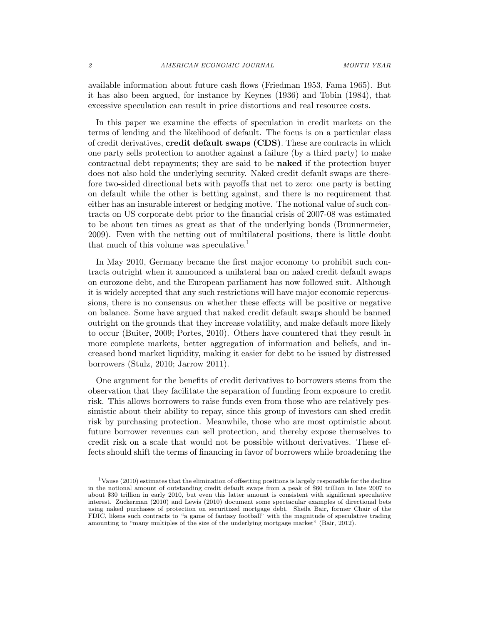available information about future cash flows (Friedman 1953, Fama 1965). But it has also been argued, for instance by Keynes (1936) and Tobin (1984), that excessive speculation can result in price distortions and real resource costs.

In this paper we examine the effects of speculation in credit markets on the terms of lending and the likelihood of default. The focus is on a particular class of credit derivatives, credit default swaps (CDS). These are contracts in which one party sells protection to another against a failure (by a third party) to make contractual debt repayments; they are said to be naked if the protection buyer does not also hold the underlying security. Naked credit default swaps are therefore two-sided directional bets with payoffs that net to zero: one party is betting on default while the other is betting against, and there is no requirement that either has an insurable interest or hedging motive. The notional value of such contracts on US corporate debt prior to the financial crisis of 2007-08 was estimated to be about ten times as great as that of the underlying bonds (Brunnermeier, 2009). Even with the netting out of multilateral positions, there is little doubt that much of this volume was speculative.<sup>1</sup>

In May 2010, Germany became the first major economy to prohibit such contracts outright when it announced a unilateral ban on naked credit default swaps on eurozone debt, and the European parliament has now followed suit. Although it is widely accepted that any such restrictions will have major economic repercussions, there is no consensus on whether these effects will be positive or negative on balance. Some have argued that naked credit default swaps should be banned outright on the grounds that they increase volatility, and make default more likely to occur (Buiter, 2009; Portes, 2010). Others have countered that they result in more complete markets, better aggregation of information and beliefs, and increased bond market liquidity, making it easier for debt to be issued by distressed borrowers (Stulz, 2010; Jarrow 2011).

One argument for the benefits of credit derivatives to borrowers stems from the observation that they facilitate the separation of funding from exposure to credit risk. This allows borrowers to raise funds even from those who are relatively pessimistic about their ability to repay, since this group of investors can shed credit risk by purchasing protection. Meanwhile, those who are most optimistic about future borrower revenues can sell protection, and thereby expose themselves to credit risk on a scale that would not be possible without derivatives. These effects should shift the terms of financing in favor of borrowers while broadening the

<sup>&</sup>lt;sup>1</sup>Vause (2010) estimates that the elimination of offsetting positions is largely responsible for the decline in the notional amount of outstanding credit default swaps from a peak of \$60 trillion in late 2007 to about \$30 trillion in early 2010, but even this latter amount is consistent with significant speculative interest. Zuckerman (2010) and Lewis (2010) document some spectacular examples of directional bets using naked purchases of protection on securitized mortgage debt. Sheila Bair, former Chair of the FDIC, likens such contracts to "a game of fantasy football" with the magnitude of speculative trading amounting to "many multiples of the size of the underlying mortgage market" (Bair, 2012).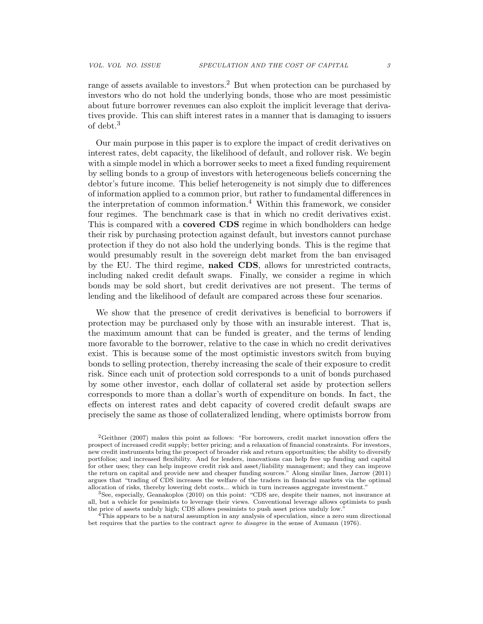range of assets available to investors.<sup>2</sup> But when protection can be purchased by investors who do not hold the underlying bonds, those who are most pessimistic about future borrower revenues can also exploit the implicit leverage that derivatives provide. This can shift interest rates in a manner that is damaging to issuers of debt.<sup>3</sup>

Our main purpose in this paper is to explore the impact of credit derivatives on interest rates, debt capacity, the likelihood of default, and rollover risk. We begin with a simple model in which a borrower seeks to meet a fixed funding requirement by selling bonds to a group of investors with heterogeneous beliefs concerning the debtor's future income. This belief heterogeneity is not simply due to differences of information applied to a common prior, but rather to fundamental differences in the interpretation of common information.<sup>4</sup> Within this framework, we consider four regimes. The benchmark case is that in which no credit derivatives exist. This is compared with a **covered CDS** regime in which bondholders can hedge their risk by purchasing protection against default, but investors cannot purchase protection if they do not also hold the underlying bonds. This is the regime that would presumably result in the sovereign debt market from the ban envisaged by the EU. The third regime, naked CDS, allows for unrestricted contracts, including naked credit default swaps. Finally, we consider a regime in which bonds may be sold short, but credit derivatives are not present. The terms of lending and the likelihood of default are compared across these four scenarios.

We show that the presence of credit derivatives is beneficial to borrowers if protection may be purchased only by those with an insurable interest. That is, the maximum amount that can be funded is greater, and the terms of lending more favorable to the borrower, relative to the case in which no credit derivatives exist. This is because some of the most optimistic investors switch from buying bonds to selling protection, thereby increasing the scale of their exposure to credit risk. Since each unit of protection sold corresponds to a unit of bonds purchased by some other investor, each dollar of collateral set aside by protection sellers corresponds to more than a dollar's worth of expenditure on bonds. In fact, the effects on interest rates and debt capacity of covered credit default swaps are precisely the same as those of collateralized lending, where optimists borrow from

<sup>4</sup>This appears to be a natural assumption in any analysis of speculation, since a zero sum directional bet requires that the parties to the contract *agree to disagree* in the sense of Aumann (1976).

<sup>2</sup>Geithner (2007) makes this point as follows: "For borrowers, credit market innovation offers the prospect of increased credit supply; better pricing; and a relaxation of financial constraints. For investors, new credit instruments bring the prospect of broader risk and return opportunities; the ability to diversify portfolios; and increased flexibility. And for lenders, innovations can help free up funding and capital for other uses; they can help improve credit risk and asset/liability management; and they can improve the return on capital and provide new and cheaper funding sources." Along similar lines, Jarrow (2011) argues that "trading of CDS increases the welfare of the traders in financial markets via the optimal allocation of risks, thereby lowering debt costs... which in turn increases aggregate investment."

<sup>3</sup>See, especially, Geanakoplos (2010) on this point: "CDS are, despite their names, not insurance at all, but a vehicle for pessimists to leverage their views. Conventional leverage allows optimists to push the price of assets unduly high; CDS allows pessimists to push asset prices unduly low."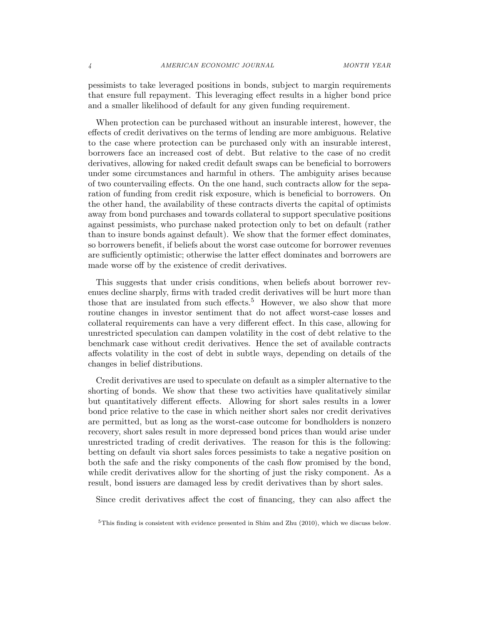pessimists to take leveraged positions in bonds, subject to margin requirements that ensure full repayment. This leveraging effect results in a higher bond price and a smaller likelihood of default for any given funding requirement.

When protection can be purchased without an insurable interest, however, the effects of credit derivatives on the terms of lending are more ambiguous. Relative to the case where protection can be purchased only with an insurable interest, borrowers face an increased cost of debt. But relative to the case of no credit derivatives, allowing for naked credit default swaps can be beneficial to borrowers under some circumstances and harmful in others. The ambiguity arises because of two countervailing effects. On the one hand, such contracts allow for the separation of funding from credit risk exposure, which is beneficial to borrowers. On the other hand, the availability of these contracts diverts the capital of optimists away from bond purchases and towards collateral to support speculative positions against pessimists, who purchase naked protection only to bet on default (rather than to insure bonds against default). We show that the former effect dominates, so borrowers benefit, if beliefs about the worst case outcome for borrower revenues are sufficiently optimistic; otherwise the latter effect dominates and borrowers are made worse off by the existence of credit derivatives.

This suggests that under crisis conditions, when beliefs about borrower revenues decline sharply, firms with traded credit derivatives will be hurt more than those that are insulated from such effects.<sup>5</sup> However, we also show that more routine changes in investor sentiment that do not affect worst-case losses and collateral requirements can have a very different effect. In this case, allowing for unrestricted speculation can dampen volatility in the cost of debt relative to the benchmark case without credit derivatives. Hence the set of available contracts affects volatility in the cost of debt in subtle ways, depending on details of the changes in belief distributions.

Credit derivatives are used to speculate on default as a simpler alternative to the shorting of bonds. We show that these two activities have qualitatively similar but quantitatively different effects. Allowing for short sales results in a lower bond price relative to the case in which neither short sales nor credit derivatives are permitted, but as long as the worst-case outcome for bondholders is nonzero recovery, short sales result in more depressed bond prices than would arise under unrestricted trading of credit derivatives. The reason for this is the following: betting on default via short sales forces pessimists to take a negative position on both the safe and the risky components of the cash flow promised by the bond, while credit derivatives allow for the shorting of just the risky component. As a result, bond issuers are damaged less by credit derivatives than by short sales.

Since credit derivatives affect the cost of financing, they can also affect the

 $5$ This finding is consistent with evidence presented in Shim and Zhu (2010), which we discuss below.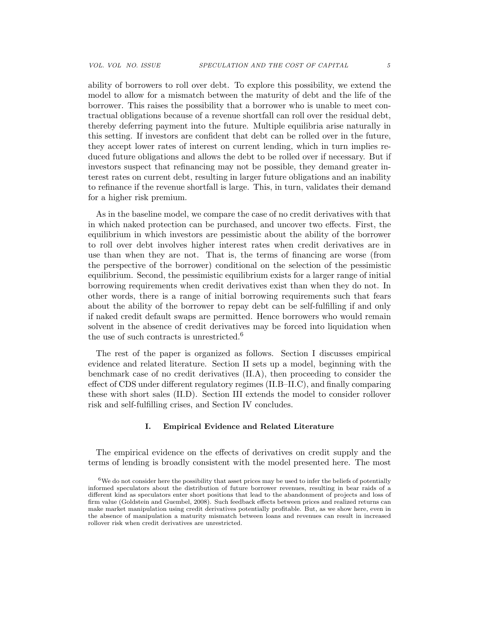ability of borrowers to roll over debt. To explore this possibility, we extend the model to allow for a mismatch between the maturity of debt and the life of the borrower. This raises the possibility that a borrower who is unable to meet contractual obligations because of a revenue shortfall can roll over the residual debt, thereby deferring payment into the future. Multiple equilibria arise naturally in this setting. If investors are confident that debt can be rolled over in the future, they accept lower rates of interest on current lending, which in turn implies reduced future obligations and allows the debt to be rolled over if necessary. But if investors suspect that refinancing may not be possible, they demand greater interest rates on current debt, resulting in larger future obligations and an inability to refinance if the revenue shortfall is large. This, in turn, validates their demand for a higher risk premium.

As in the baseline model, we compare the case of no credit derivatives with that in which naked protection can be purchased, and uncover two effects. First, the equilibrium in which investors are pessimistic about the ability of the borrower to roll over debt involves higher interest rates when credit derivatives are in use than when they are not. That is, the terms of financing are worse (from the perspective of the borrower) conditional on the selection of the pessimistic equilibrium. Second, the pessimistic equilibrium exists for a larger range of initial borrowing requirements when credit derivatives exist than when they do not. In other words, there is a range of initial borrowing requirements such that fears about the ability of the borrower to repay debt can be self-fulfilling if and only if naked credit default swaps are permitted. Hence borrowers who would remain solvent in the absence of credit derivatives may be forced into liquidation when the use of such contracts is unrestricted.<sup>6</sup>

The rest of the paper is organized as follows. Section I discusses empirical evidence and related literature. Section II sets up a model, beginning with the benchmark case of no credit derivatives (II.A), then proceeding to consider the effect of CDS under different regulatory regimes (II.B–II.C), and finally comparing these with short sales (II.D). Section III extends the model to consider rollover risk and self-fulfilling crises, and Section IV concludes.

#### I. Empirical Evidence and Related Literature

The empirical evidence on the effects of derivatives on credit supply and the terms of lending is broadly consistent with the model presented here. The most

 $6W$ e do not consider here the possibility that asset prices may be used to infer the beliefs of potentially informed speculators about the distribution of future borrower revenues, resulting in bear raids of a different kind as speculators enter short positions that lead to the abandonment of projects and loss of firm value (Goldstein and Guembel, 2008). Such feedback effects between prices and realized returns can make market manipulation using credit derivatives potentially profitable. But, as we show here, even in the absence of manipulation a maturity mismatch between loans and revenues can result in increased rollover risk when credit derivatives are unrestricted.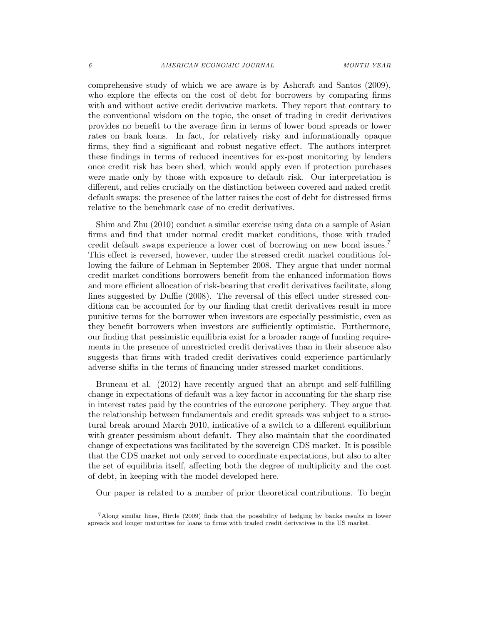comprehensive study of which we are aware is by Ashcraft and Santos (2009), who explore the effects on the cost of debt for borrowers by comparing firms with and without active credit derivative markets. They report that contrary to the conventional wisdom on the topic, the onset of trading in credit derivatives provides no benefit to the average firm in terms of lower bond spreads or lower rates on bank loans. In fact, for relatively risky and informationally opaque firms, they find a significant and robust negative effect. The authors interpret these findings in terms of reduced incentives for ex-post monitoring by lenders once credit risk has been shed, which would apply even if protection purchases were made only by those with exposure to default risk. Our interpretation is different, and relies crucially on the distinction between covered and naked credit default swaps: the presence of the latter raises the cost of debt for distressed firms relative to the benchmark case of no credit derivatives.

Shim and Zhu (2010) conduct a similar exercise using data on a sample of Asian firms and find that under normal credit market conditions, those with traded credit default swaps experience a lower cost of borrowing on new bond issues.<sup>7</sup> This effect is reversed, however, under the stressed credit market conditions following the failure of Lehman in September 2008. They argue that under normal credit market conditions borrowers benefit from the enhanced information flows and more efficient allocation of risk-bearing that credit derivatives facilitate, along lines suggested by Duffie (2008). The reversal of this effect under stressed conditions can be accounted for by our finding that credit derivatives result in more punitive terms for the borrower when investors are especially pessimistic, even as they benefit borrowers when investors are sufficiently optimistic. Furthermore, our finding that pessimistic equilibria exist for a broader range of funding requirements in the presence of unrestricted credit derivatives than in their absence also suggests that firms with traded credit derivatives could experience particularly adverse shifts in the terms of financing under stressed market conditions.

Bruneau et al. (2012) have recently argued that an abrupt and self-fulfilling change in expectations of default was a key factor in accounting for the sharp rise in interest rates paid by the countries of the eurozone periphery. They argue that the relationship between fundamentals and credit spreads was subject to a structural break around March 2010, indicative of a switch to a different equilibrium with greater pessimism about default. They also maintain that the coordinated change of expectations was facilitated by the sovereign CDS market. It is possible that the CDS market not only served to coordinate expectations, but also to alter the set of equilibria itself, affecting both the degree of multiplicity and the cost of debt, in keeping with the model developed here.

Our paper is related to a number of prior theoretical contributions. To begin

<sup>7</sup>Along similar lines, Hirtle (2009) finds that the possibility of hedging by banks results in lower spreads and longer maturities for loans to firms with traded credit derivatives in the US market.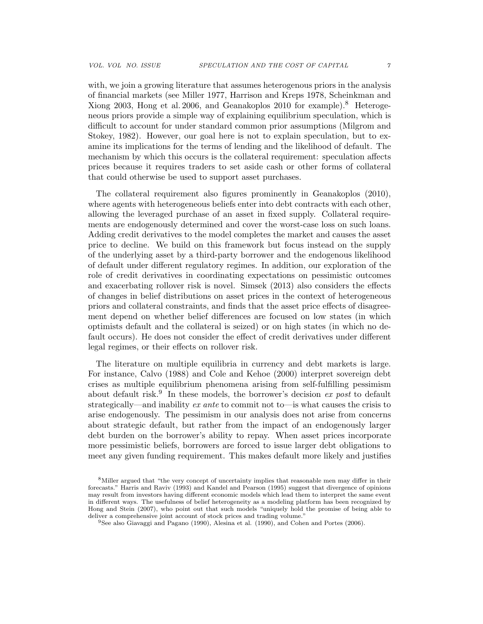with, we join a growing literature that assumes heterogenous priors in the analysis of financial markets (see Miller 1977, Harrison and Kreps 1978, Scheinkman and Xiong 2003, Hong et al. 2006, and Geanakoplos 2010 for example).<sup>8</sup> Heterogeneous priors provide a simple way of explaining equilibrium speculation, which is difficult to account for under standard common prior assumptions (Milgrom and Stokey, 1982). However, our goal here is not to explain speculation, but to examine its implications for the terms of lending and the likelihood of default. The mechanism by which this occurs is the collateral requirement: speculation affects prices because it requires traders to set aside cash or other forms of collateral that could otherwise be used to support asset purchases.

The collateral requirement also figures prominently in Geanakoplos (2010), where agents with heterogeneous beliefs enter into debt contracts with each other, allowing the leveraged purchase of an asset in fixed supply. Collateral requirements are endogenously determined and cover the worst-case loss on such loans. Adding credit derivatives to the model completes the market and causes the asset price to decline. We build on this framework but focus instead on the supply of the underlying asset by a third-party borrower and the endogenous likelihood of default under different regulatory regimes. In addition, our exploration of the role of credit derivatives in coordinating expectations on pessimistic outcomes and exacerbating rollover risk is novel. Simsek (2013) also considers the effects of changes in belief distributions on asset prices in the context of heterogeneous priors and collateral constraints, and finds that the asset price effects of disagreement depend on whether belief differences are focused on low states (in which optimists default and the collateral is seized) or on high states (in which no default occurs). He does not consider the effect of credit derivatives under different legal regimes, or their effects on rollover risk.

The literature on multiple equilibria in currency and debt markets is large. For instance, Calvo (1988) and Cole and Kehoe (2000) interpret sovereign debt crises as multiple equilibrium phenomena arising from self-fulfilling pessimism about default risk.<sup>9</sup> In these models, the borrower's decision ex post to default strategically—and inability ex ante to commit not to—is what causes the crisis to arise endogenously. The pessimism in our analysis does not arise from concerns about strategic default, but rather from the impact of an endogenously larger debt burden on the borrower's ability to repay. When asset prices incorporate more pessimistic beliefs, borrowers are forced to issue larger debt obligations to meet any given funding requirement. This makes default more likely and justifies

<sup>&</sup>lt;sup>8</sup>Miller argued that "the very concept of uncertainty implies that reasonable men may differ in their forecasts." Harris and Raviv (1993) and Kandel and Pearson (1995) suggest that divergence of opinions may result from investors having different economic models which lead them to interpret the same event in different ways. The usefulness of belief heterogeneity as a modeling platform has been recognized by Hong and Stein (2007), who point out that such models "uniquely hold the promise of being able to deliver a comprehensive joint account of stock prices and trading volume."

<sup>9</sup>See also Giavaggi and Pagano (1990), Alesina et al. (1990), and Cohen and Portes (2006).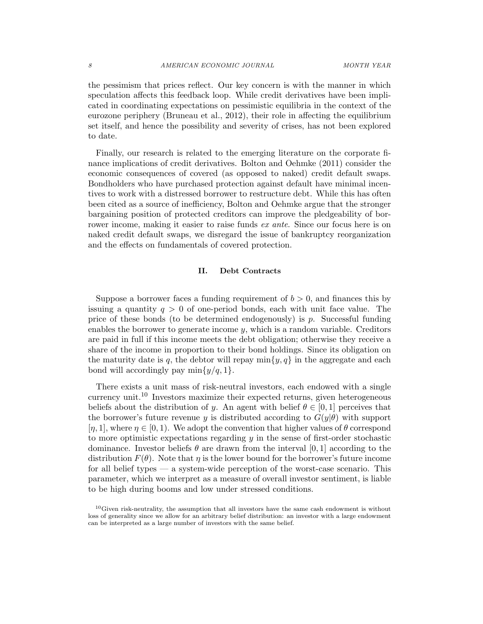the pessimism that prices reflect. Our key concern is with the manner in which speculation affects this feedback loop. While credit derivatives have been implicated in coordinating expectations on pessimistic equilibria in the context of the eurozone periphery (Bruneau et al., 2012), their role in affecting the equilibrium set itself, and hence the possibility and severity of crises, has not been explored to date.

Finally, our research is related to the emerging literature on the corporate finance implications of credit derivatives. Bolton and Oehmke (2011) consider the economic consequences of covered (as opposed to naked) credit default swaps. Bondholders who have purchased protection against default have minimal incentives to work with a distressed borrower to restructure debt. While this has often been cited as a source of inefficiency, Bolton and Oehmke argue that the stronger bargaining position of protected creditors can improve the pledgeability of borrower income, making it easier to raise funds ex ante. Since our focus here is on naked credit default swaps, we disregard the issue of bankruptcy reorganization and the effects on fundamentals of covered protection.

### II. Debt Contracts

Suppose a borrower faces a funding requirement of  $b > 0$ , and finances this by issuing a quantity  $q > 0$  of one-period bonds, each with unit face value. The price of these bonds (to be determined endogenously) is  $p$ . Successful funding enables the borrower to generate income  $y$ , which is a random variable. Creditors are paid in full if this income meets the debt obligation; otherwise they receive a share of the income in proportion to their bond holdings. Since its obligation on the maturity date is q, the debtor will repay  $\min\{y, q\}$  in the aggregate and each bond will accordingly pay  $\min\{y/q, 1\}.$ 

There exists a unit mass of risk-neutral investors, each endowed with a single currency unit.<sup>10</sup> Investors maximize their expected returns, given heterogeneous beliefs about the distribution of y. An agent with belief  $\theta \in [0, 1]$  perceives that the borrower's future revenue y is distributed according to  $G(y|\theta)$  with support  $[\eta, 1]$ , where  $\eta \in [0, 1)$ . We adopt the convention that higher values of  $\theta$  correspond to more optimistic expectations regarding  $y$  in the sense of first-order stochastic dominance. Investor beliefs  $\theta$  are drawn from the interval [0, 1] according to the distribution  $F(\theta)$ . Note that  $\eta$  is the lower bound for the borrower's future income for all belief types — a system-wide perception of the worst-case scenario. This parameter, which we interpret as a measure of overall investor sentiment, is liable to be high during booms and low under stressed conditions.

<sup>&</sup>lt;sup>10</sup>Given risk-neutrality, the assumption that all investors have the same cash endowment is without loss of generality since we allow for an arbitrary belief distribution: an investor with a large endowment can be interpreted as a large number of investors with the same belief.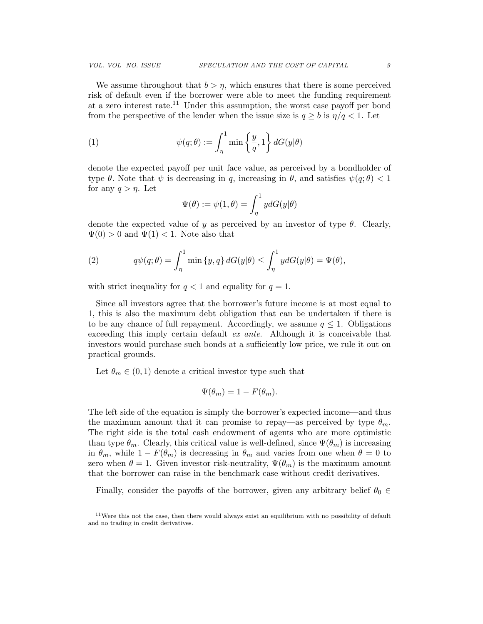We assume throughout that  $b > \eta$ , which ensures that there is some perceived risk of default even if the borrower were able to meet the funding requirement at a zero interest rate.<sup>11</sup> Under this assumption, the worst case payoff per bond from the perspective of the lender when the issue size is  $q \ge b$  is  $\eta/q < 1$ . Let

(1) 
$$
\psi(q;\theta) := \int_{\eta}^{1} \min\left\{\frac{y}{q}, 1\right\} dG(y|\theta)
$$

denote the expected payoff per unit face value, as perceived by a bondholder of type  $\theta$ . Note that  $\psi$  is decreasing in q, increasing in  $\theta$ , and satisfies  $\psi(q;\theta) < 1$ for any  $q > \eta$ . Let

$$
\Psi(\theta) := \psi(1,\theta) = \int_{\eta}^{1} y dG(y|\theta)
$$

denote the expected value of y as perceived by an investor of type  $\theta$ . Clearly,  $\Psi(0) > 0$  and  $\Psi(1) < 1$ . Note also that

(2) 
$$
q\psi(q;\theta) = \int_{\eta}^{1} \min\{y,q\} dG(y|\theta) \le \int_{\eta}^{1} y dG(y|\theta) = \Psi(\theta),
$$

with strict inequality for  $q < 1$  and equality for  $q = 1$ .

Since all investors agree that the borrower's future income is at most equal to 1, this is also the maximum debt obligation that can be undertaken if there is to be any chance of full repayment. Accordingly, we assume  $q \leq 1$ . Obligations exceeding this imply certain default *ex ante*. Although it is conceivable that investors would purchase such bonds at a sufficiently low price, we rule it out on practical grounds.

Let  $\theta_m \in (0,1)$  denote a critical investor type such that

$$
\Psi(\theta_m) = 1 - F(\theta_m).
$$

The left side of the equation is simply the borrower's expected income—and thus the maximum amount that it can promise to repay—as perceived by type  $\theta_m$ . The right side is the total cash endowment of agents who are more optimistic than type  $\theta_m$ . Clearly, this critical value is well-defined, since  $\Psi(\theta_m)$  is increasing in  $\theta_m$ , while  $1 - F(\theta_m)$  is decreasing in  $\theta_m$  and varies from one when  $\theta = 0$  to zero when  $\theta = 1$ . Given investor risk-neutrality,  $\Psi(\theta_m)$  is the maximum amount that the borrower can raise in the benchmark case without credit derivatives.

Finally, consider the payoffs of the borrower, given any arbitrary belief  $\theta_0 \in$ 

<sup>&</sup>lt;sup>11</sup>Were this not the case, then there would always exist an equilibrium with no possibility of default and no trading in credit derivatives.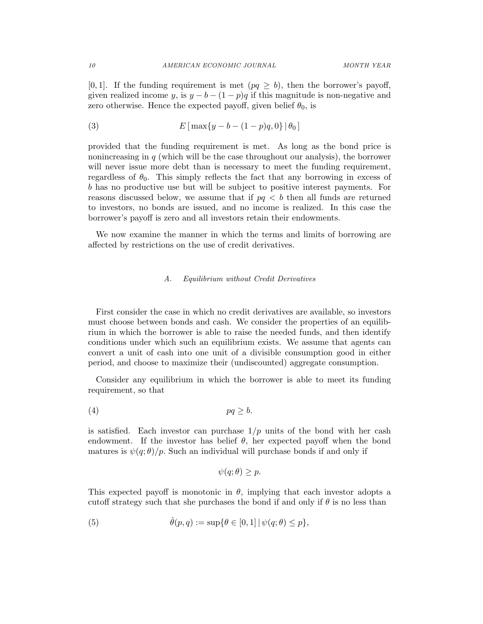[0, 1]. If the funding requirement is met  $(pq \geq b)$ , then the borrower's payoff, given realized income y, is  $y - b - (1 - p)q$  if this magnitude is non-negative and zero otherwise. Hence the expected payoff, given belief  $\theta_0$ , is

(3) 
$$
E\left[\max\{y-b-(1-p)q,0\}\,|\,\theta_0\,\right]
$$

provided that the funding requirement is met. As long as the bond price is nonincreasing in  $q$  (which will be the case throughout our analysis), the borrower will never issue more debt than is necessary to meet the funding requirement, regardless of  $\theta_0$ . This simply reflects the fact that any borrowing in excess of b has no productive use but will be subject to positive interest payments. For reasons discussed below, we assume that if  $pq < b$  then all funds are returned to investors, no bonds are issued, and no income is realized. In this case the borrower's payoff is zero and all investors retain their endowments.

We now examine the manner in which the terms and limits of borrowing are affected by restrictions on the use of credit derivatives.

#### A. Equilibrium without Credit Derivatives

First consider the case in which no credit derivatives are available, so investors must choose between bonds and cash. We consider the properties of an equilibrium in which the borrower is able to raise the needed funds, and then identify conditions under which such an equilibrium exists. We assume that agents can convert a unit of cash into one unit of a divisible consumption good in either period, and choose to maximize their (undiscounted) aggregate consumption.

Consider any equilibrium in which the borrower is able to meet its funding requirement, so that

$$
(4) \t pq \ge b.
$$

is satisfied. Each investor can purchase  $1/p$  units of the bond with her cash endowment. If the investor has belief  $\theta$ , her expected payoff when the bond matures is  $\psi(q;\theta)/p$ . Such an individual will purchase bonds if and only if

$$
\psi(q;\theta) \ge p.
$$

This expected payoff is monotonic in  $\theta$ , implying that each investor adopts a cutoff strategy such that she purchases the bond if and only if  $\theta$  is no less than

(5) 
$$
\hat{\theta}(p,q) := \sup \{ \theta \in [0,1] \, | \, \psi(q;\theta) \leq p \},
$$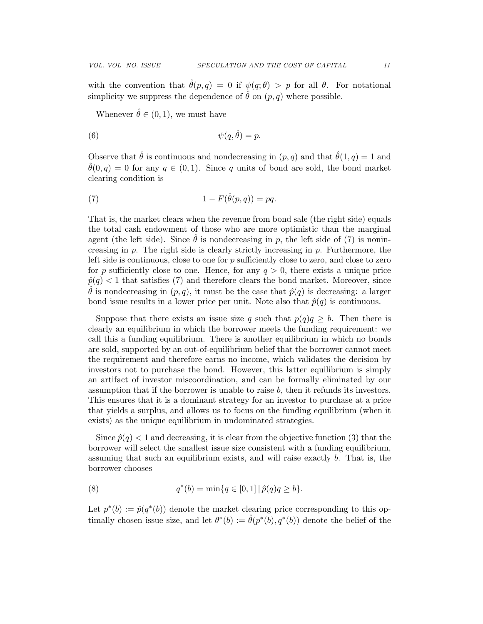with the convention that  $\hat{\theta}(p,q) = 0$  if  $\psi(q;\theta) > p$  for all  $\theta$ . For notational simplicity we suppress the dependence of  $\hat{\theta}$  on  $(p, q)$  where possible.

Whenever  $\hat{\theta} \in (0, 1)$ , we must have

(6) 
$$
\psi(q, \hat{\theta}) = p.
$$

Observe that  $\hat{\theta}$  is continuous and nondecreasing in  $(p, q)$  and that  $\hat{\theta}(1, q) = 1$  and  $\hat{\theta}(0, q) = 0$  for any  $q \in (0, 1)$ . Since q units of bond are sold, the bond market clearing condition is

(7) 
$$
1 - F(\hat{\theta}(p,q)) = pq.
$$

That is, the market clears when the revenue from bond sale (the right side) equals the total cash endowment of those who are more optimistic than the marginal agent (the left side). Since  $\theta$  is nondecreasing in p, the left side of (7) is nonincreasing in  $p$ . The right side is clearly strictly increasing in  $p$ . Furthermore, the left side is continuous, close to one for  $p$  sufficiently close to zero, and close to zero for p sufficiently close to one. Hence, for any  $q > 0$ , there exists a unique price  $\hat{p}(q)$  < 1 that satisfies (7) and therefore clears the bond market. Moreover, since  $\hat{\theta}$  is nondecreasing in  $(p, q)$ , it must be the case that  $\hat{p}(q)$  is decreasing: a larger bond issue results in a lower price per unit. Note also that  $\hat{p}(q)$  is continuous.

Suppose that there exists an issue size q such that  $p(q)q \geq b$ . Then there is clearly an equilibrium in which the borrower meets the funding requirement: we call this a funding equilibrium. There is another equilibrium in which no bonds are sold, supported by an out-of-equilibrium belief that the borrower cannot meet the requirement and therefore earns no income, which validates the decision by investors not to purchase the bond. However, this latter equilibrium is simply an artifact of investor miscoordination, and can be formally eliminated by our assumption that if the borrower is unable to raise b, then it refunds its investors. This ensures that it is a dominant strategy for an investor to purchase at a price that yields a surplus, and allows us to focus on the funding equilibrium (when it exists) as the unique equilibrium in undominated strategies.

Since  $\hat{p}(q) < 1$  and decreasing, it is clear from the objective function (3) that the borrower will select the smallest issue size consistent with a funding equilibrium, assuming that such an equilibrium exists, and will raise exactly b. That is, the borrower chooses

(8) 
$$
q^*(b) = \min\{q \in [0,1] | \hat{p}(q)q \ge b\}.
$$

Let  $p^*(b) := \hat{p}(q^*(b))$  denote the market clearing price corresponding to this optimally chosen issue size, and let  $\theta^*(b) := \hat{\theta}(p^*(b), q^*(b))$  denote the belief of the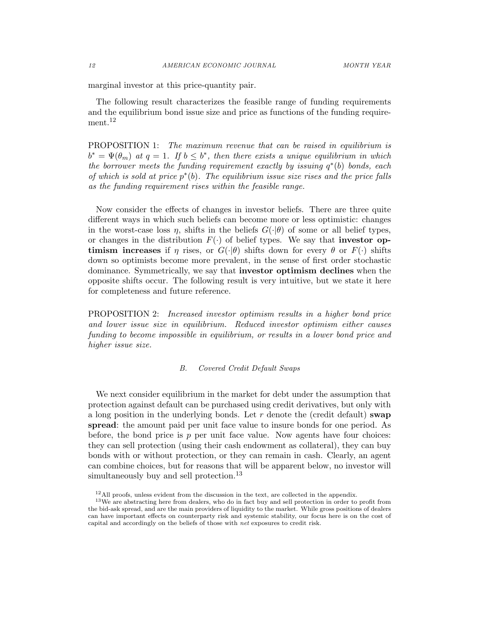marginal investor at this price-quantity pair.

The following result characterizes the feasible range of funding requirements and the equilibrium bond issue size and price as functions of the funding requirement.<sup>12</sup>

PROPOSITION 1: The maximum revenue that can be raised in equilibrium is  $b^* = \Psi(\theta_m)$  at  $q = 1$ . If  $b \leq b^*$ , then there exists a unique equilibrium in which the borrower meets the funding requirement exactly by issuing  $q^*(b)$  bonds, each of which is sold at price  $p^*(b)$ . The equilibrium issue size rises and the price falls as the funding requirement rises within the feasible range.

Now consider the effects of changes in investor beliefs. There are three quite different ways in which such beliefs can become more or less optimistic: changes in the worst-case loss  $\eta$ , shifts in the beliefs  $G(\cdot|\theta)$  of some or all belief types, or changes in the distribution  $F(.)$  of belief types. We say that **investor op**timism increases if  $\eta$  rises, or  $G(\cdot|\theta)$  shifts down for every  $\theta$  or  $F(\cdot)$  shifts down so optimists become more prevalent, in the sense of first order stochastic dominance. Symmetrically, we say that investor optimism declines when the opposite shifts occur. The following result is very intuitive, but we state it here for completeness and future reference.

PROPOSITION 2: Increased investor optimism results in a higher bond price and lower issue size in equilibrium. Reduced investor optimism either causes funding to become impossible in equilibrium, or results in a lower bond price and higher issue size.

### B. Covered Credit Default Swaps

We next consider equilibrium in the market for debt under the assumption that protection against default can be purchased using credit derivatives, but only with a long position in the underlying bonds. Let  $r$  denote the (credit default) swap spread: the amount paid per unit face value to insure bonds for one period. As before, the bond price is  $p$  per unit face value. Now agents have four choices: they can sell protection (using their cash endowment as collateral), they can buy bonds with or without protection, or they can remain in cash. Clearly, an agent can combine choices, but for reasons that will be apparent below, no investor will simultaneously buy and sell protection.<sup>13</sup>

 $12$ All proofs, unless evident from the discussion in the text, are collected in the appendix.

<sup>&</sup>lt;sup>13</sup>We are abstracting here from dealers, who do in fact buy and sell protection in order to profit from the bid-ask spread, and are the main providers of liquidity to the market. While gross positions of dealers can have important effects on counterparty risk and systemic stability, our focus here is on the cost of capital and accordingly on the beliefs of those with net exposures to credit risk.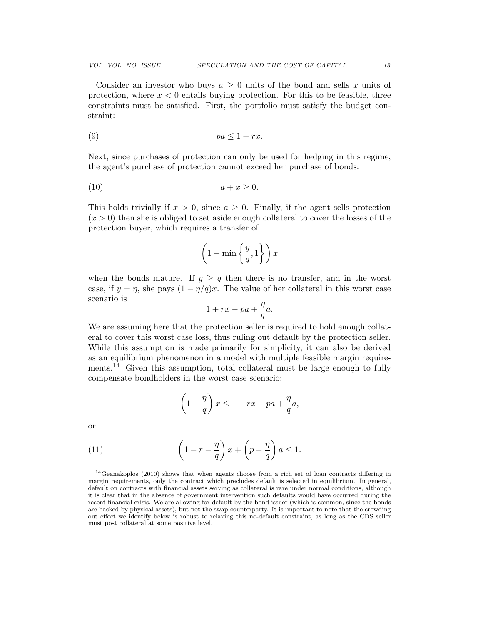Consider an investor who buys  $a \geq 0$  units of the bond and sells x units of protection, where  $x < 0$  entails buying protection. For this to be feasible, three constraints must be satisfied. First, the portfolio must satisfy the budget constraint:

$$
(9) \t pa \le 1 + rx.
$$

Next, since purchases of protection can only be used for hedging in this regime, the agent's purchase of protection cannot exceed her purchase of bonds:

$$
(10) \t\t\t a+x\geq 0.
$$

This holds trivially if  $x > 0$ , since  $a \geq 0$ . Finally, if the agent sells protection  $(x > 0)$  then she is obliged to set aside enough collateral to cover the losses of the protection buyer, which requires a transfer of

$$
\left(1 - \min\left\{\frac{y}{q}, 1\right\}\right)x
$$

when the bonds mature. If  $y \geq q$  then there is no transfer, and in the worst case, if  $y = \eta$ , she pays  $(1 - \eta/q)x$ . The value of her collateral in this worst case scenario is

$$
1+rx -pa + \frac{\eta}{q}a.
$$

We are assuming here that the protection seller is required to hold enough collateral to cover this worst case loss, thus ruling out default by the protection seller. While this assumption is made primarily for simplicity, it can also be derived as an equilibrium phenomenon in a model with multiple feasible margin requirements.<sup>14</sup> Given this assumption, total collateral must be large enough to fully compensate bondholders in the worst case scenario:

$$
\left(1 - \frac{\eta}{q}\right)x \le 1 + rx - pa + \frac{\eta}{q}a,
$$

or

(11) 
$$
\left(1-r-\frac{\eta}{q}\right)x+\left(p-\frac{\eta}{q}\right)a\leq 1.
$$

<sup>14</sup>Geanakoplos (2010) shows that when agents choose from a rich set of loan contracts differing in margin requirements, only the contract which precludes default is selected in equilibrium. In general, default on contracts with financial assets serving as collateral is rare under normal conditions, although it is clear that in the absence of government intervention such defaults would have occurred during the recent financial crisis. We are allowing for default by the bond issuer (which is common, since the bonds are backed by physical assets), but not the swap counterparty. It is important to note that the crowding out effect we identify below is robust to relaxing this no-default constraint, as long as the CDS seller must post collateral at some positive level.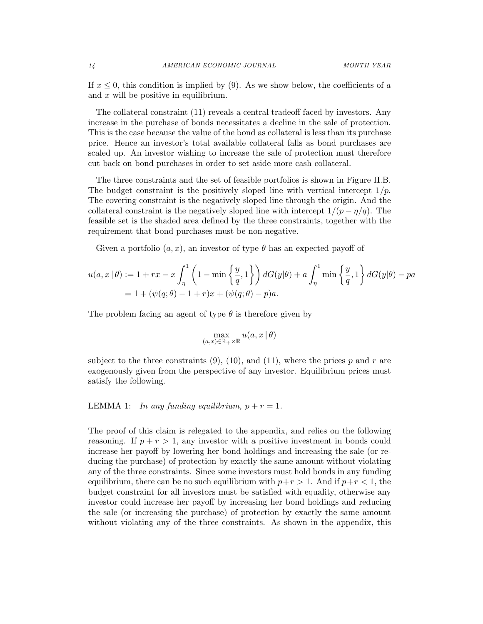If  $x \leq 0$ , this condition is implied by (9). As we show below, the coefficients of a and x will be positive in equilibrium.

The collateral constraint (11) reveals a central tradeoff faced by investors. Any increase in the purchase of bonds necessitates a decline in the sale of protection. This is the case because the value of the bond as collateral is less than its purchase price. Hence an investor's total available collateral falls as bond purchases are scaled up. An investor wishing to increase the sale of protection must therefore cut back on bond purchases in order to set aside more cash collateral.

The three constraints and the set of feasible portfolios is shown in Figure II.B. The budget constraint is the positively sloped line with vertical intercept  $1/p$ . The covering constraint is the negatively sloped line through the origin. And the collateral constraint is the negatively sloped line with intercept  $1/(p - \eta/q)$ . The feasible set is the shaded area defined by the three constraints, together with the requirement that bond purchases must be non-negative.

Given a portfolio  $(a, x)$ , an investor of type  $\theta$  has an expected payoff of

$$
u(a,x|\theta) := 1 + rx - x \int_{\eta}^{1} \left(1 - \min\left\{\frac{y}{q}, 1\right\}\right) dG(y|\theta) + a \int_{\eta}^{1} \min\left\{\frac{y}{q}, 1\right\} dG(y|\theta) - pa
$$
  
= 1 +  $(\psi(q;\theta) - 1 + r)x + (\psi(q;\theta) - p)a$ .

The problem facing an agent of type  $\theta$  is therefore given by

$$
\max_{(a,x)\in\mathbb{R}_+\times\mathbb{R}} u(a,x\,|\,\theta)
$$

subject to the three constraints  $(9)$ ,  $(10)$ , and  $(11)$ , where the prices p and r are exogenously given from the perspective of any investor. Equilibrium prices must satisfy the following.

LEMMA 1: In any funding equilibrium,  $p + r = 1$ .

The proof of this claim is relegated to the appendix, and relies on the following reasoning. If  $p + r > 1$ , any investor with a positive investment in bonds could increase her payoff by lowering her bond holdings and increasing the sale (or reducing the purchase) of protection by exactly the same amount without violating any of the three constraints. Since some investors must hold bonds in any funding equilibrium, there can be no such equilibrium with  $p+r > 1$ . And if  $p+r < 1$ , the budget constraint for all investors must be satisfied with equality, otherwise any investor could increase her payoff by increasing her bond holdings and reducing the sale (or increasing the purchase) of protection by exactly the same amount without violating any of the three constraints. As shown in the appendix, this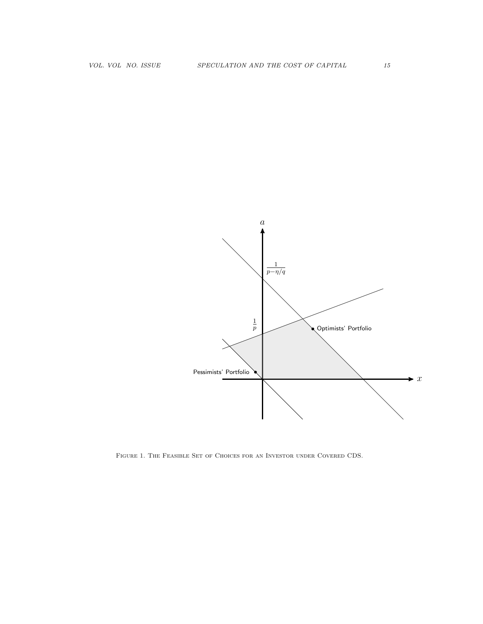

FIGURE 1. THE FEASIBLE SET OF CHOICES FOR AN INVESTOR UNDER COVERED CDS.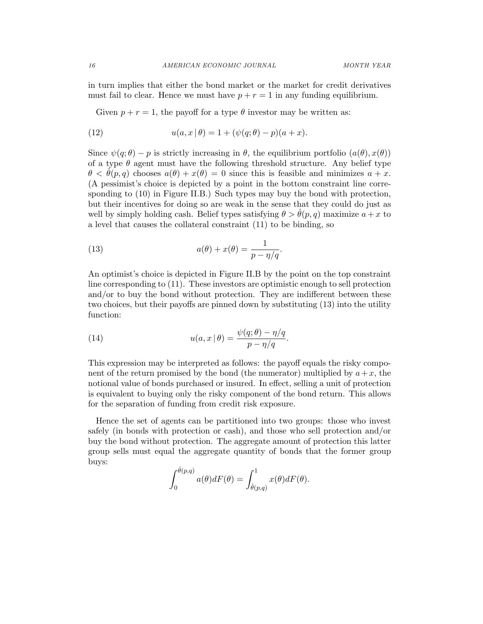in turn implies that either the bond market or the market for credit derivatives must fail to clear. Hence we must have  $p + r = 1$  in any funding equilibrium.

Given  $p + r = 1$ , the payoff for a type  $\theta$  investor may be written as:

(12) 
$$
u(a, x | \theta) = 1 + (\psi(q; \theta) - p)(a + x).
$$

Since  $\psi(q;\theta) - p$  is strictly increasing in  $\theta$ , the equilibrium portfolio  $(a(\theta), x(\theta))$ of a type  $\theta$  agent must have the following threshold structure. Any belief type  $\theta < \theta(p,q)$  chooses  $a(\theta) + x(\theta) = 0$  since this is feasible and minimizes  $a + x$ . (A pessimist's choice is depicted by a point in the bottom constraint line corresponding to (10) in Figure II.B.) Such types may buy the bond with protection, but their incentives for doing so are weak in the sense that they could do just as well by simply holding cash. Belief types satisfying  $\theta > \theta(p,q)$  maximize  $a + x$  to a level that causes the collateral constraint (11) to be binding, so

(13) 
$$
a(\theta) + x(\theta) = \frac{1}{p - \eta/q}.
$$

An optimist's choice is depicted in Figure II.B by the point on the top constraint line corresponding to (11). These investors are optimistic enough to sell protection and/or to buy the bond without protection. They are indifferent between these two choices, but their payoffs are pinned down by substituting (13) into the utility function:

(14) 
$$
u(a,x|\theta) = \frac{\psi(q;\theta) - \eta/q}{p - \eta/q}.
$$

This expression may be interpreted as follows: the payoff equals the risky component of the return promised by the bond (the numerator) multiplied by  $a+x$ , the notional value of bonds purchased or insured. In effect, selling a unit of protection is equivalent to buying only the risky component of the bond return. This allows for the separation of funding from credit risk exposure.

Hence the set of agents can be partitioned into two groups: those who invest safely (in bonds with protection or cash), and those who sell protection and/or buy the bond without protection. The aggregate amount of protection this latter group sells must equal the aggregate quantity of bonds that the former group buys:

$$
\int_0^{\hat{\theta}(p,q)} a(\theta) dF(\theta) = \int_{\hat{\theta}(p,q)}^1 x(\theta) dF(\theta).
$$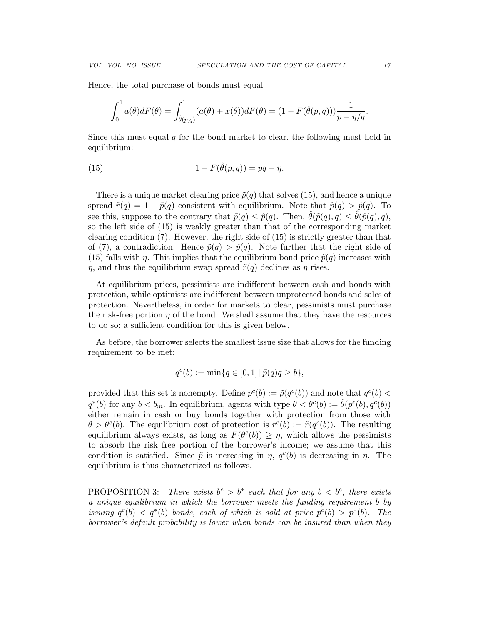Hence, the total purchase of bonds must equal

$$
\int_0^1 a(\theta) dF(\theta) = \int_{\hat{\theta}(p,q)}^1 (a(\theta) + x(\theta)) dF(\theta) = (1 - F(\hat{\theta}(p,q))) \frac{1}{p - \eta/q}.
$$

Since this must equal q for the bond market to clear, the following must hold in equilibrium:

(15) 
$$
1 - F(\hat{\theta}(p,q)) = pq - \eta.
$$

There is a unique market clearing price  $\tilde{p}(q)$  that solves (15), and hence a unique spread  $\tilde{r}(q) = 1 - \tilde{p}(q)$  consistent with equilibrium. Note that  $\tilde{p}(q) > \hat{p}(q)$ . To see this, suppose to the contrary that  $\tilde{p}(q) \leq \hat{p}(q)$ . Then,  $\hat{\theta}(\tilde{p}(q), q) \leq \hat{\theta}(\hat{p}(q), q)$ , so the left side of (15) is weakly greater than that of the corresponding market clearing condition (7). However, the right side of (15) is strictly greater than that of (7), a contradiction. Hence  $\tilde{p}(q) > \hat{p}(q)$ . Note further that the right side of (15) falls with  $\eta$ . This implies that the equilibrium bond price  $\tilde{p}(q)$  increases with  $\eta$ , and thus the equilibrium swap spread  $\tilde{r}(q)$  declines as  $\eta$  rises.

At equilibrium prices, pessimists are indifferent between cash and bonds with protection, while optimists are indifferent between unprotected bonds and sales of protection. Nevertheless, in order for markets to clear, pessimists must purchase the risk-free portion  $\eta$  of the bond. We shall assume that they have the resources to do so; a sufficient condition for this is given below.

As before, the borrower selects the smallest issue size that allows for the funding requirement to be met:

$$
q^{c}(b) := \min\{q \in [0,1] \mid \tilde{p}(q)q \geq b\},\
$$

provided that this set is nonempty. Define  $p^{c}(b) := \tilde{p}(q^{c}(b))$  and note that  $q^{c}(b) <$  $q^*(b)$  for any  $b < b_m$ . In equilibrium, agents with type  $\theta < \theta^c(b) := \hat{\theta}(p^c(b), q^c(b))$ either remain in cash or buy bonds together with protection from those with  $\theta > \theta^c(b)$ . The equilibrium cost of protection is  $r^c(b) := \tilde{r}(q^c(b))$ . The resulting equilibrium always exists, as long as  $F(\theta^c(b)) \geq \eta$ , which allows the pessimists to absorb the risk free portion of the borrower's income; we assume that this condition is satisfied. Since  $\tilde{p}$  is increasing in  $\eta$ ,  $q^c(b)$  is decreasing in  $\eta$ . The equilibrium is thus characterized as follows.

PROPOSITION 3: There exists  $b^c > b^*$  such that for any  $b < b^c$ , there exists a unique equilibrium in which the borrower meets the funding requirement b by issuing  $q<sup>c</sup>(b) < q<sup>*</sup>(b)$  bonds, each of which is sold at price  $p<sup>c</sup>(b) > p<sup>*</sup>(b)$ . The borrower's default probability is lower when bonds can be insured than when they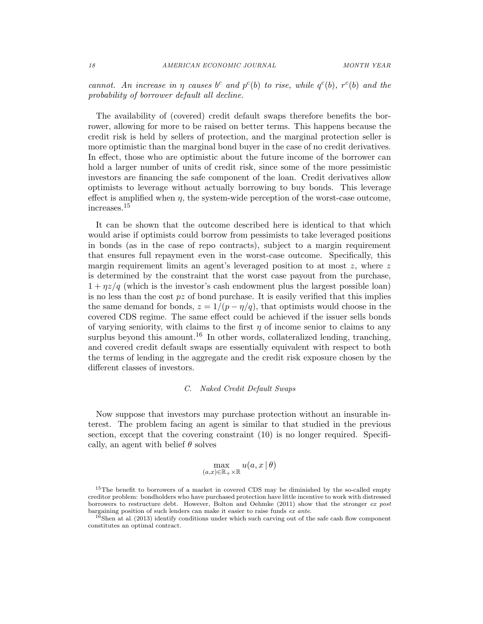cannot. An increase in  $\eta$  causes  $b^c$  and  $p^c(b)$  to rise, while  $q^c(b)$ ,  $r^c(b)$  and the probability of borrower default all decline.

The availability of (covered) credit default swaps therefore benefits the borrower, allowing for more to be raised on better terms. This happens because the credit risk is held by sellers of protection, and the marginal protection seller is more optimistic than the marginal bond buyer in the case of no credit derivatives. In effect, those who are optimistic about the future income of the borrower can hold a larger number of units of credit risk, since some of the more pessimistic investors are financing the safe component of the loan. Credit derivatives allow optimists to leverage without actually borrowing to buy bonds. This leverage effect is amplified when  $\eta$ , the system-wide perception of the worst-case outcome, increases.<sup>15</sup>

It can be shown that the outcome described here is identical to that which would arise if optimists could borrow from pessimists to take leveraged positions in bonds (as in the case of repo contracts), subject to a margin requirement that ensures full repayment even in the worst-case outcome. Specifically, this margin requirement limits an agent's leveraged position to at most  $z$ , where  $z$ is determined by the constraint that the worst case payout from the purchase,  $1 + \eta z/q$  (which is the investor's cash endowment plus the largest possible loan) is no less than the cost  $pz$  of bond purchase. It is easily verified that this implies the same demand for bonds,  $z = 1/(p - \eta/q)$ , that optimists would choose in the covered CDS regime. The same effect could be achieved if the issuer sells bonds of varying seniority, with claims to the first  $\eta$  of income senior to claims to any surplus beyond this amount.<sup>16</sup> In other words, collateralized lending, tranching, and covered credit default swaps are essentially equivalent with respect to both the terms of lending in the aggregate and the credit risk exposure chosen by the different classes of investors.

#### C. Naked Credit Default Swaps

Now suppose that investors may purchase protection without an insurable interest. The problem facing an agent is similar to that studied in the previous section, except that the covering constraint (10) is no longer required. Specifically, an agent with belief  $\theta$  solves

$$
\max_{(a,x)\in\mathbb{R}_+\times\mathbb{R}} u(a,x\,|\,\theta)
$$

<sup>&</sup>lt;sup>15</sup>The benefit to borrowers of a market in covered CDS may be diminished by the so-called empty creditor problem: bondholders who have purchased protection have little incentive to work with distressed borrowers to restructure debt. However, Bolton and Oehmke (2011) show that the stronger ex post bargaining position of such lenders can make it easier to raise funds ex ante.

 $16$ Shen at al. (2013) identify conditions under which such carving out of the safe cash flow component constitutes an optimal contract.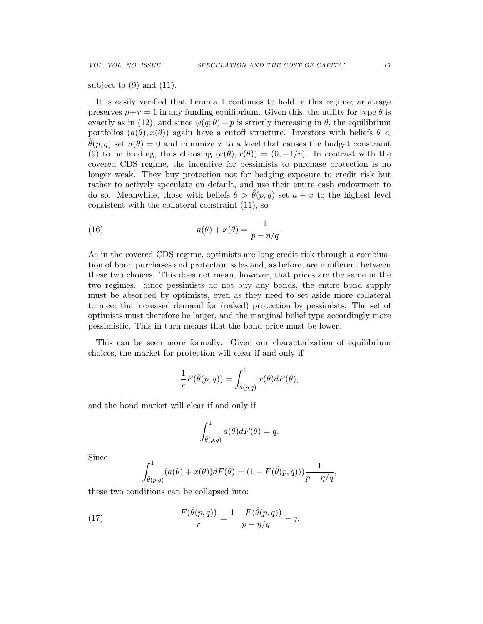subject to  $(9)$  and  $(11)$ .

It is easily verified that Lemma 1 continues to hold in this regime; arbitrage preserves  $p+r=1$  in any funding equilibrium. Given this, the utility for type  $\theta$  is exactly as in (12), and since  $\psi(q;\theta) - p$  is strictly increasing in  $\theta$ , the equilibrium portfolios  $(a(\theta), x(\theta))$  again have a cutoff structure. Investors with beliefs  $\theta$  <  $\hat{\theta}(p,q)$  set  $a(\theta) = 0$  and minimize x to a level that causes the budget constraint (9) to be binding, thus choosing  $(a(\theta), x(\theta)) = (0, -1/r)$ . In contrast with the covered CDS regime, the incentive for pessimists to purchase protection is no longer weak. They buy protection not for hedging exposure to credit risk but rather to actively speculate on default, and use their entire cash endowment to do so. Meanwhile, those with beliefs  $\theta > \theta(p,q)$  set  $a+x$  to the highest level consistent with the collateral constraint (11), so

(16) 
$$
a(\theta) + x(\theta) = \frac{1}{p - \eta/q}.
$$

As in the covered CDS regime, optimists are long credit risk through a combination of bond purchases and protection sales and, as before, are indifferent between these two choices. This does not mean, however, that prices are the same in the two regimes. Since pessimists do not buy any bonds, the entire bond supply must be absorbed by optimists, even as they need to set aside more collateral to meet the increased demand for (naked) protection by pessimists. The set of optimists must therefore be larger, and the marginal belief type accordingly more pessimistic. This in turn means that the bond price must be lower.

This can be seen more formally. Given our characterization of equilibrium choices, the market for protection will clear if and only if

$$
\frac{1}{r}F(\hat{\theta}(p,q)) = \int_{\hat{\theta}(p,q)}^{1} x(\theta) dF(\theta),
$$

and the bond market will clear if and only if

$$
\int_{\hat{\theta}(p,q)}^1 a(\theta) dF(\theta) = q.
$$

Since

$$
\int_{\hat{\theta}(p,q)}^{1} (a(\theta) + x(\theta)) dF(\theta) = (1 - F(\hat{\theta}(p,q))) \frac{1}{p - \eta/q},
$$

these two conditions can be collapsed into:

(17) 
$$
\frac{F(\hat{\theta}(p,q))}{r} = \frac{1 - F(\hat{\theta}(p,q))}{p - \eta/q} - q.
$$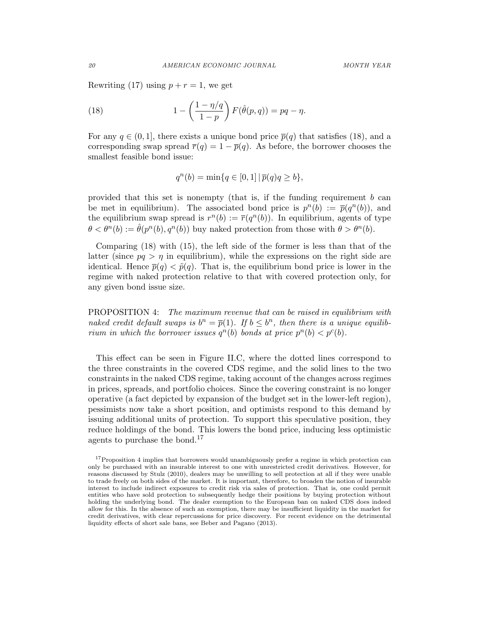Rewriting (17) using  $p + r = 1$ , we get

(18) 
$$
1 - \left(\frac{1 - \eta/q}{1 - p}\right) F(\hat{\theta}(p, q)) = pq - \eta.
$$

For any  $q \in (0, 1]$ , there exists a unique bond price  $\bar{p}(q)$  that satisfies (18), and a corresponding swap spread  $\overline{r}(q) = 1 - \overline{p}(q)$ . As before, the borrower chooses the smallest feasible bond issue:

$$
q^{n}(b) = \min\{q \in [0,1] \mid \overline{p}(q)q \ge b\},\
$$

provided that this set is nonempty (that is, if the funding requirement  $b$  can be met in equilibrium). The associated bond price is  $p^{n}(b) := \overline{p}(q^{n}(b))$ , and the equilibrium swap spread is  $r^n(b) := \overline{r}(q^n(b))$ . In equilibrium, agents of type  $\theta < \theta^n(b) := \hat{\theta}(p^n(b), q^n(b))$  buy naked protection from those with  $\theta > \theta^n(b)$ .

Comparing (18) with (15), the left side of the former is less than that of the latter (since  $pq > \eta$  in equilibrium), while the expressions on the right side are identical. Hence  $\bar{p}(q) < \tilde{p}(q)$ . That is, the equilibrium bond price is lower in the regime with naked protection relative to that with covered protection only, for any given bond issue size.

PROPOSITION 4: The maximum revenue that can be raised in equilibrium with naked credit default swaps is  $b^n = \overline{p}(1)$ . If  $b \leq b^n$ , then there is a unique equilibrium in which the borrower issues  $q^n(b)$  bonds at price  $p^n(b) < p^c(b)$ .

This effect can be seen in Figure II.C, where the dotted lines correspond to the three constraints in the covered CDS regime, and the solid lines to the two constraints in the naked CDS regime, taking account of the changes across regimes in prices, spreads, and portfolio choices. Since the covering constraint is no longer operative (a fact depicted by expansion of the budget set in the lower-left region), pessimists now take a short position, and optimists respond to this demand by issuing additional units of protection. To support this speculative position, they reduce holdings of the bond. This lowers the bond price, inducing less optimistic agents to purchase the bond.<sup>17</sup>

<sup>&</sup>lt;sup>17</sup>Proposition 4 implies that borrowers would unambiguously prefer a regime in which protection can only be purchased with an insurable interest to one with unrestricted credit derivatives. However, for reasons discussed by Stulz (2010), dealers may be unwilling to sell protection at all if they were unable to trade freely on both sides of the market. It is important, therefore, to broaden the notion of insurable interest to include indirect exposures to credit risk via sales of protection. That is, one could permit entities who have sold protection to subsequently hedge their positions by buying protection without holding the underlying bond. The dealer exemption to the European ban on naked CDS does indeed allow for this. In the absence of such an exemption, there may be insufficient liquidity in the market for credit derivatives, with clear repercussions for price discovery. For recent evidence on the detrimental liquidity effects of short sale bans, see Beber and Pagano (2013).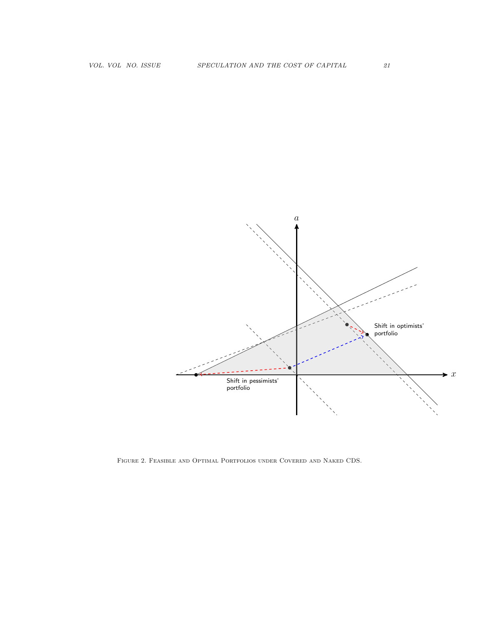

Figure 2. Feasible and Optimal Portfolios under Covered and Naked CDS.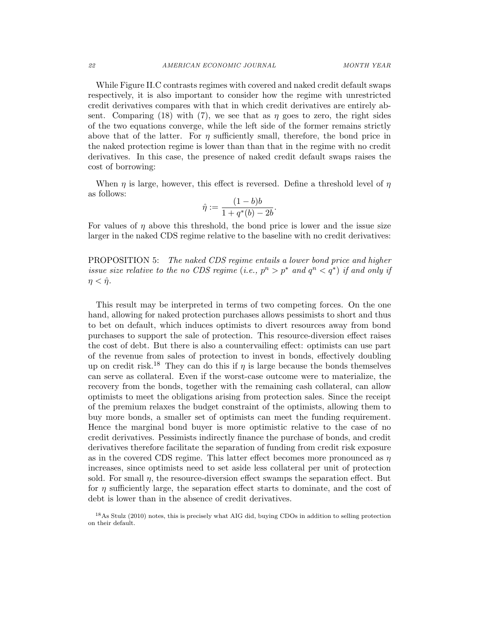While Figure II.C contrasts regimes with covered and naked credit default swaps respectively, it is also important to consider how the regime with unrestricted credit derivatives compares with that in which credit derivatives are entirely absent. Comparing (18) with (7), we see that as  $\eta$  goes to zero, the right sides of the two equations converge, while the left side of the former remains strictly above that of the latter. For  $\eta$  sufficiently small, therefore, the bond price in the naked protection regime is lower than than that in the regime with no credit derivatives. In this case, the presence of naked credit default swaps raises the cost of borrowing:

When  $\eta$  is large, however, this effect is reversed. Define a threshold level of  $\eta$ as follows:

$$
\hat{\eta} := \frac{(1-b)b}{1 + q^*(b) - 2b}.
$$

For values of  $\eta$  above this threshold, the bond price is lower and the issue size larger in the naked CDS regime relative to the baseline with no credit derivatives:

PROPOSITION 5: The naked CDS regime entails a lower bond price and higher issue size relative to the no CDS regime (i.e.,  $p^{n} > p^{*}$  and  $q^{n} < q^{*}$ ) if and only if  $\eta < \hat{\eta}$ .

This result may be interpreted in terms of two competing forces. On the one hand, allowing for naked protection purchases allows pessimists to short and thus to bet on default, which induces optimists to divert resources away from bond purchases to support the sale of protection. This resource-diversion effect raises the cost of debt. But there is also a countervailing effect: optimists can use part of the revenue from sales of protection to invest in bonds, effectively doubling up on credit risk.<sup>18</sup> They can do this if  $\eta$  is large because the bonds themselves can serve as collateral. Even if the worst-case outcome were to materialize, the recovery from the bonds, together with the remaining cash collateral, can allow optimists to meet the obligations arising from protection sales. Since the receipt of the premium relaxes the budget constraint of the optimists, allowing them to buy more bonds, a smaller set of optimists can meet the funding requirement. Hence the marginal bond buyer is more optimistic relative to the case of no credit derivatives. Pessimists indirectly finance the purchase of bonds, and credit derivatives therefore facilitate the separation of funding from credit risk exposure as in the covered CDS regime. This latter effect becomes more pronounced as  $\eta$ increases, since optimists need to set aside less collateral per unit of protection sold. For small  $\eta$ , the resource-diversion effect swamps the separation effect. But for  $\eta$  sufficiently large, the separation effect starts to dominate, and the cost of debt is lower than in the absence of credit derivatives.

<sup>18</sup>As Stulz (2010) notes, this is precisely what AIG did, buying CDOs in addition to selling protection on their default.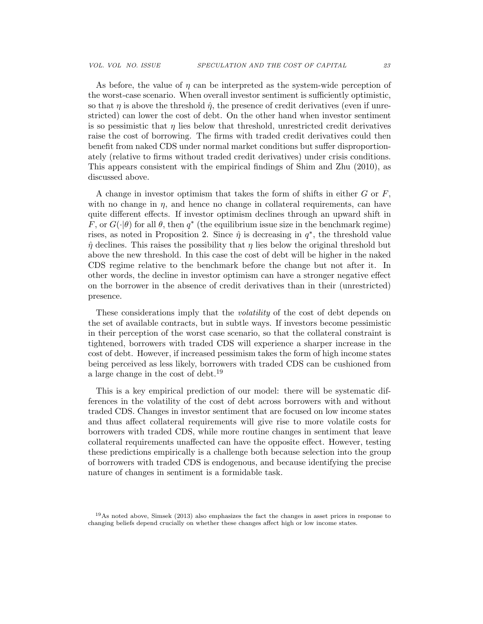As before, the value of  $\eta$  can be interpreted as the system-wide perception of the worst-case scenario. When overall investor sentiment is sufficiently optimistic, so that  $\eta$  is above the threshold  $\hat{\eta}$ , the presence of credit derivatives (even if unrestricted) can lower the cost of debt. On the other hand when investor sentiment is so pessimistic that  $\eta$  lies below that threshold, unrestricted credit derivatives raise the cost of borrowing. The firms with traded credit derivatives could then benefit from naked CDS under normal market conditions but suffer disproportionately (relative to firms without traded credit derivatives) under crisis conditions. This appears consistent with the empirical findings of Shim and Zhu (2010), as discussed above.

A change in investor optimism that takes the form of shifts in either  $G$  or  $F$ , with no change in  $\eta$ , and hence no change in collateral requirements, can have quite different effects. If investor optimism declines through an upward shift in F, or  $G(\cdot|\theta)$  for all  $\theta$ , then  $q^*$  (the equilibrium issue size in the benchmark regime) rises, as noted in Proposition 2. Since  $\hat{\eta}$  is decreasing in  $q^*$ , the threshold value  $\hat{\eta}$  declines. This raises the possibility that  $\eta$  lies below the original threshold but above the new threshold. In this case the cost of debt will be higher in the naked CDS regime relative to the benchmark before the change but not after it. In other words, the decline in investor optimism can have a stronger negative effect on the borrower in the absence of credit derivatives than in their (unrestricted) presence.

These considerations imply that the *volatility* of the cost of debt depends on the set of available contracts, but in subtle ways. If investors become pessimistic in their perception of the worst case scenario, so that the collateral constraint is tightened, borrowers with traded CDS will experience a sharper increase in the cost of debt. However, if increased pessimism takes the form of high income states being perceived as less likely, borrowers with traded CDS can be cushioned from a large change in the cost of debt.<sup>19</sup>

This is a key empirical prediction of our model: there will be systematic differences in the volatility of the cost of debt across borrowers with and without traded CDS. Changes in investor sentiment that are focused on low income states and thus affect collateral requirements will give rise to more volatile costs for borrowers with traded CDS, while more routine changes in sentiment that leave collateral requirements unaffected can have the opposite effect. However, testing these predictions empirically is a challenge both because selection into the group of borrowers with traded CDS is endogenous, and because identifying the precise nature of changes in sentiment is a formidable task.

<sup>19</sup>As noted above, Simsek (2013) also emphasizes the fact the changes in asset prices in response to changing beliefs depend crucially on whether these changes affect high or low income states.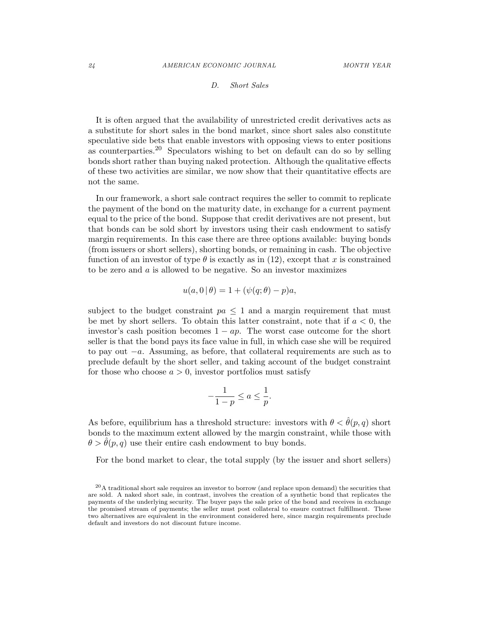#### D. Short Sales

It is often argued that the availability of unrestricted credit derivatives acts as a substitute for short sales in the bond market, since short sales also constitute speculative side bets that enable investors with opposing views to enter positions as counterparties.<sup>20</sup> Speculators wishing to bet on default can do so by selling bonds short rather than buying naked protection. Although the qualitative effects of these two activities are similar, we now show that their quantitative effects are not the same.

In our framework, a short sale contract requires the seller to commit to replicate the payment of the bond on the maturity date, in exchange for a current payment equal to the price of the bond. Suppose that credit derivatives are not present, but that bonds can be sold short by investors using their cash endowment to satisfy margin requirements. In this case there are three options available: buying bonds (from issuers or short sellers), shorting bonds, or remaining in cash. The objective function of an investor of type  $\theta$  is exactly as in (12), except that x is constrained to be zero and  $\alpha$  is allowed to be negative. So an investor maximizes

$$
u(a, 0 | \theta) = 1 + (\psi(q; \theta) - p)a,
$$

subject to the budget constraint  $pa \leq 1$  and a margin requirement that must be met by short sellers. To obtain this latter constraint, note that if  $a < 0$ , the investor's cash position becomes  $1 - ap$ . The worst case outcome for the short seller is that the bond pays its face value in full, in which case she will be required to pay out  $-a$ . Assuming, as before, that collateral requirements are such as to preclude default by the short seller, and taking account of the budget constraint for those who choose  $a > 0$ , investor portfolios must satisfy

$$
-\frac{1}{1-p} \le a \le \frac{1}{p}.
$$

As before, equilibrium has a threshold structure: investors with  $\theta < \hat{\theta}(p,q)$  short bonds to the maximum extent allowed by the margin constraint, while those with  $\theta > \theta(p,q)$  use their entire cash endowment to buy bonds.

For the bond market to clear, the total supply (by the issuer and short sellers)

<sup>20</sup>A traditional short sale requires an investor to borrow (and replace upon demand) the securities that are sold. A naked short sale, in contrast, involves the creation of a synthetic bond that replicates the payments of the underlying security. The buyer pays the sale price of the bond and receives in exchange the promised stream of payments; the seller must post collateral to ensure contract fulfillment. These two alternatives are equivalent in the environment considered here, since margin requirements preclude default and investors do not discount future income.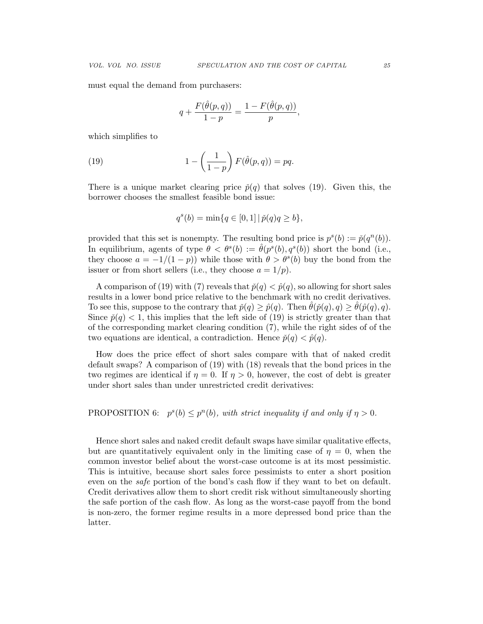must equal the demand from purchasers:

$$
q + \frac{F(\hat{\theta}(p,q))}{1-p} = \frac{1 - F(\hat{\theta}(p,q))}{p},
$$

which simplifies to

(19) 
$$
1 - \left(\frac{1}{1-p}\right) F(\hat{\theta}(p,q)) = pq.
$$

There is a unique market clearing price  $\check{p}(q)$  that solves (19). Given this, the borrower chooses the smallest feasible bond issue:

$$
q^s(b) = \min\{q \in [0,1] \, | \, \check{p}(q)q \ge b\},\
$$

provided that this set is nonempty. The resulting bond price is  $p^{s}(b) := \check{p}(q^{n}(b)).$ In equilibrium, agents of type  $\theta < \theta^s(b) := \hat{\theta}(p^s(b), q^s(b))$  short the bond (i.e., they choose  $a = -1/(1 - p)$ ) while those with  $\theta > \theta^s(b)$  buy the bond from the issuer or from short sellers (i.e., they choose  $a = 1/p$ ).

A comparison of (19) with (7) reveals that  $\tilde{p}(q) < \hat{p}(q)$ , so allowing for short sales results in a lower bond price relative to the benchmark with no credit derivatives. To see this, suppose to the contrary that  $\check{p}(q) \geq \hat{p}(q)$ . Then  $\hat{\theta}(\check{p}(q), q) \geq \hat{\theta}(\hat{p}(q), q)$ . Since  $\tilde{p}(q) < 1$ , this implies that the left side of (19) is strictly greater than that of the corresponding market clearing condition (7), while the right sides of of the two equations are identical, a contradiction. Hence  $\tilde{p}(q) < \hat{p}(q)$ .

How does the price effect of short sales compare with that of naked credit default swaps? A comparison of (19) with (18) reveals that the bond prices in the two regimes are identical if  $\eta = 0$ . If  $\eta > 0$ , however, the cost of debt is greater under short sales than under unrestricted credit derivatives:

PROPOSITION 6:  $p^{s}(b) \leq p^{n}(b)$ , with strict inequality if and only if  $\eta > 0$ .

Hence short sales and naked credit default swaps have similar qualitative effects, but are quantitatively equivalent only in the limiting case of  $\eta = 0$ , when the common investor belief about the worst-case outcome is at its most pessimistic. This is intuitive, because short sales force pessimists to enter a short position even on the safe portion of the bond's cash flow if they want to bet on default. Credit derivatives allow them to short credit risk without simultaneously shorting the safe portion of the cash flow. As long as the worst-case payoff from the bond is non-zero, the former regime results in a more depressed bond price than the latter.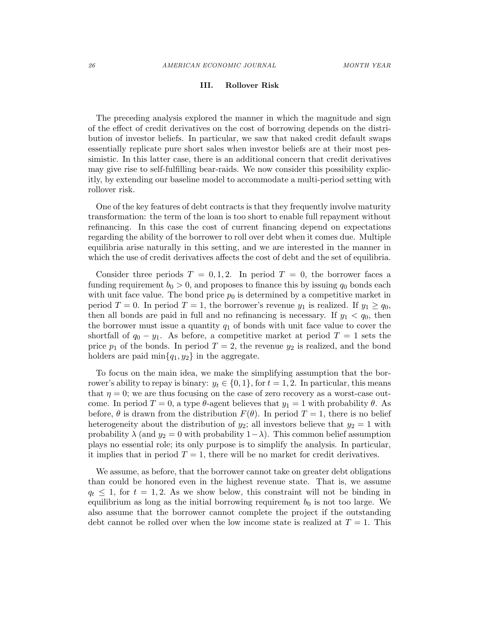#### III. Rollover Risk

The preceding analysis explored the manner in which the magnitude and sign of the effect of credit derivatives on the cost of borrowing depends on the distribution of investor beliefs. In particular, we saw that naked credit default swaps essentially replicate pure short sales when investor beliefs are at their most pessimistic. In this latter case, there is an additional concern that credit derivatives may give rise to self-fulfilling bear-raids. We now consider this possibility explicitly, by extending our baseline model to accommodate a multi-period setting with rollover risk.

One of the key features of debt contracts is that they frequently involve maturity transformation: the term of the loan is too short to enable full repayment without refinancing. In this case the cost of current financing depend on expectations regarding the ability of the borrower to roll over debt when it comes due. Multiple equilibria arise naturally in this setting, and we are interested in the manner in which the use of credit derivatives affects the cost of debt and the set of equilibria.

Consider three periods  $T = 0, 1, 2$ . In period  $T = 0$ , the borrower faces a funding requirement  $b_0 > 0$ , and proposes to finance this by issuing  $q_0$  bonds each with unit face value. The bond price  $p_0$  is determined by a competitive market in period  $T = 0$ . In period  $T = 1$ , the borrower's revenue  $y_1$  is realized. If  $y_1 \geq q_0$ , then all bonds are paid in full and no refinancing is necessary. If  $y_1 < q_0$ , then the borrower must issue a quantity  $q_1$  of bonds with unit face value to cover the shortfall of  $q_0 - y_1$ . As before, a competitive market at period  $T = 1$  sets the price  $p_1$  of the bonds. In period  $T = 2$ , the revenue  $y_2$  is realized, and the bond holders are paid  $\min\{q_1, y_2\}$  in the aggregate.

To focus on the main idea, we make the simplifying assumption that the borrower's ability to repay is binary:  $y_t \in \{0, 1\}$ , for  $t = 1, 2$ . In particular, this means that  $\eta = 0$ ; we are thus focusing on the case of zero recovery as a worst-case outcome. In period  $T = 0$ , a type  $\theta$ -agent believes that  $y_1 = 1$  with probability  $\theta$ . As before,  $\theta$  is drawn from the distribution  $F(\theta)$ . In period  $T = 1$ , there is no belief heterogeneity about the distribution of  $y_2$ ; all investors believe that  $y_2 = 1$  with probability  $\lambda$  (and  $y_2 = 0$  with probability  $1-\lambda$ ). This common belief assumption plays no essential role; its only purpose is to simplify the analysis. In particular, it implies that in period  $T = 1$ , there will be no market for credit derivatives.

We assume, as before, that the borrower cannot take on greater debt obligations than could be honored even in the highest revenue state. That is, we assume  $q_t \leq 1$ , for  $t = 1, 2$ . As we show below, this constraint will not be binding in equilibrium as long as the initial borrowing requirement  $b_0$  is not too large. We also assume that the borrower cannot complete the project if the outstanding debt cannot be rolled over when the low income state is realized at  $T = 1$ . This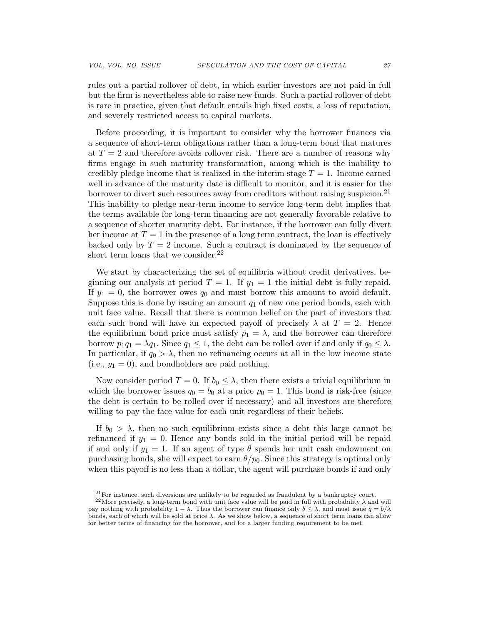rules out a partial rollover of debt, in which earlier investors are not paid in full but the firm is nevertheless able to raise new funds. Such a partial rollover of debt is rare in practice, given that default entails high fixed costs, a loss of reputation, and severely restricted access to capital markets.

Before proceeding, it is important to consider why the borrower finances via a sequence of short-term obligations rather than a long-term bond that matures at  $T = 2$  and therefore avoids rollover risk. There are a number of reasons why firms engage in such maturity transformation, among which is the inability to credibly pledge income that is realized in the interim stage  $T = 1$ . Income earned well in advance of the maturity date is difficult to monitor, and it is easier for the borrower to divert such resources away from creditors without raising suspicion.<sup>21</sup> This inability to pledge near-term income to service long-term debt implies that the terms available for long-term financing are not generally favorable relative to a sequence of shorter maturity debt. For instance, if the borrower can fully divert her income at  $T = 1$  in the presence of a long term contract, the loan is effectively backed only by  $T = 2$  income. Such a contract is dominated by the sequence of short term loans that we consider. $^{22}$ 

We start by characterizing the set of equilibria without credit derivatives, beginning our analysis at period  $T = 1$ . If  $y_1 = 1$  the initial debt is fully repaid. If  $y_1 = 0$ , the borrower owes  $q_0$  and must borrow this amount to avoid default. Suppose this is done by issuing an amount  $q_1$  of new one period bonds, each with unit face value. Recall that there is common belief on the part of investors that each such bond will have an expected payoff of precisely  $\lambda$  at  $T = 2$ . Hence the equilibrium bond price must satisfy  $p_1 = \lambda$ , and the borrower can therefore borrow  $p_1q_1 = \lambda q_1$ . Since  $q_1 \leq 1$ , the debt can be rolled over if and only if  $q_0 \leq \lambda$ . In particular, if  $q_0 > \lambda$ , then no refinancing occurs at all in the low income state  $(i.e., y_1 = 0)$ , and bondholders are paid nothing.

Now consider period  $T = 0$ . If  $b_0 \leq \lambda$ , then there exists a trivial equilibrium in which the borrower issues  $q_0 = b_0$  at a price  $p_0 = 1$ . This bond is risk-free (since the debt is certain to be rolled over if necessary) and all investors are therefore willing to pay the face value for each unit regardless of their beliefs.

If  $b_0 > \lambda$ , then no such equilibrium exists since a debt this large cannot be refinanced if  $y_1 = 0$ . Hence any bonds sold in the initial period will be repaid if and only if  $y_1 = 1$ . If an agent of type  $\theta$  spends her unit cash endowment on purchasing bonds, she will expect to earn  $\theta/p_0$ . Since this strategy is optimal only when this payoff is no less than a dollar, the agent will purchase bonds if and only

 $21$  For instance, such diversions are unlikely to be regarded as fraudulent by a bankruptcy court.

<sup>&</sup>lt;sup>22</sup>More precisely, a long-term bond with unit face value will be paid in full with probability  $\lambda$  and will pay nothing with probability  $1 - \lambda$ . Thus the borrower can finance only  $b \leq \lambda$ , and must issue  $q = b/\lambda$ bonds, each of which will be sold at price  $\lambda$ . As we show below, a sequence of short term loans can allow for better terms of financing for the borrower, and for a larger funding requirement to be met.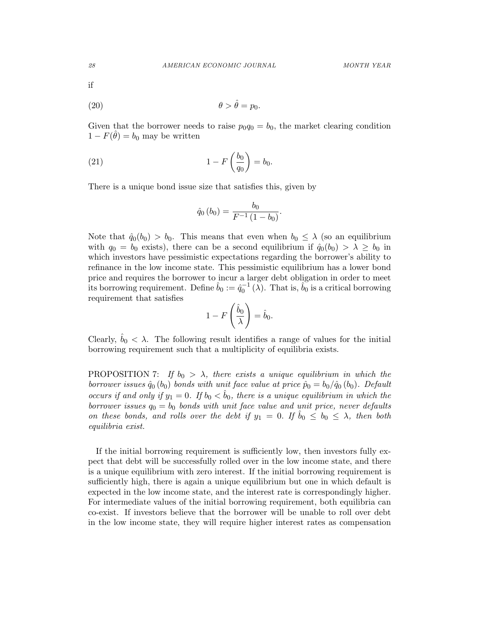if

(20) θ > ˆθ = p0.

Given that the borrower needs to raise  $p_0q_0 = b_0$ , the market clearing condition  $1 - F(\hat{\theta}) = b_0$  may be written

(21) 
$$
1 - F\left(\frac{b_0}{q_0}\right) = b_0.
$$

There is a unique bond issue size that satisfies this, given by

$$
\hat{q}_0(b_0) = \frac{b_0}{F^{-1}(1-b_0)}.
$$

Note that  $\hat{q}_0(b_0) > b_0$ . This means that even when  $b_0 \leq \lambda$  (so an equilibrium with  $q_0 = b_0$  exists), there can be a second equilibrium if  $\hat{q}_0(b_0) > \lambda \ge b_0$  in which investors have pessimistic expectations regarding the borrower's ability to refinance in the low income state. This pessimistic equilibrium has a lower bond price and requires the borrower to incur a larger debt obligation in order to meet its borrowing requirement. Define  $\hat{b}_0 := \hat{q}_0^{-1}(\lambda)$ . That is,  $\hat{b}_0$  is a critical borrowing requirement that satisfies

$$
1 - F\left(\frac{\hat{b}_0}{\lambda}\right) = \hat{b}_0.
$$

Clearly,  $\hat{b}_0 < \lambda$ . The following result identifies a range of values for the initial borrowing requirement such that a multiplicity of equilibria exists.

**PROPOSITION** 7: If  $b_0 > \lambda$ , there exists a unique equilibrium in which the borrower issues  $\hat{q}_0(b_0)$  bonds with unit face value at price  $\hat{p}_0 = b_0/\hat{q}_0(b_0)$ . Default occurs if and only if  $y_1 = 0$ . If  $b_0 < b_0$ , there is a unique equilibrium in which the borrower issues  $q_0 = b_0$  bonds with unit face value and unit price, never defaults on these bonds, and rolls over the debt if  $y_1 = 0$ . If  $b_0 \leq b_0 \leq \lambda$ , then both equilibria exist.

If the initial borrowing requirement is sufficiently low, then investors fully expect that debt will be successfully rolled over in the low income state, and there is a unique equilibrium with zero interest. If the initial borrowing requirement is sufficiently high, there is again a unique equilibrium but one in which default is expected in the low income state, and the interest rate is correspondingly higher. For intermediate values of the initial borrowing requirement, both equilibria can co-exist. If investors believe that the borrower will be unable to roll over debt in the low income state, they will require higher interest rates as compensation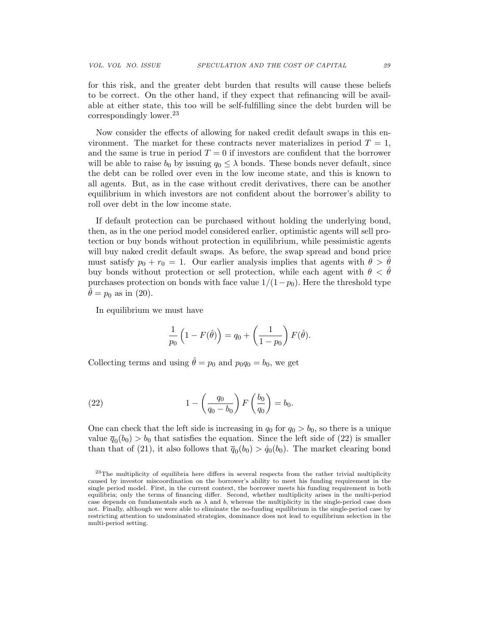for this risk, and the greater debt burden that results will cause these beliefs to be correct. On the other hand, if they expect that refinancing will be available at either state, this too will be self-fulfilling since the debt burden will be correspondingly lower.<sup>23</sup>

Now consider the effects of allowing for naked credit default swaps in this environment. The market for these contracts never materializes in period  $T = 1$ , and the same is true in period  $T = 0$  if investors are confident that the borrower will be able to raise  $b_0$  by issuing  $q_0 \leq \lambda$  bonds. These bonds never default, since the debt can be rolled over even in the low income state, and this is known to all agents. But, as in the case without credit derivatives, there can be another equilibrium in which investors are not confident about the borrower's ability to roll over debt in the low income state.

If default protection can be purchased without holding the underlying bond, then, as in the one period model considered earlier, optimistic agents will sell protection or buy bonds without protection in equilibrium, while pessimistic agents will buy naked credit default swaps. As before, the swap spread and bond price must satisfy  $p_0 + r_0 = 1$ . Our earlier analysis implies that agents with  $\theta > \theta$ buy bonds without protection or sell protection, while each agent with  $\theta < \hat{\theta}$ purchases protection on bonds with face value  $1/(1-p_0)$ . Here the threshold type  $\ddot{\theta} = p_0$  as in (20).

In equilibrium we must have

$$
\frac{1}{p_0} \left( 1 - F(\hat{\theta}) \right) = q_0 + \left( \frac{1}{1 - p_0} \right) F(\hat{\theta}).
$$

Collecting terms and using  $\hat{\theta} = p_0$  and  $p_0 q_0 = b_0$ , we get

(22) 
$$
1 - \left(\frac{q_0}{q_0 - b_0}\right) F\left(\frac{b_0}{q_0}\right) = b_0.
$$

One can check that the left side is increasing in  $q_0$  for  $q_0 > b_0$ , so there is a unique value  $\bar{q}_0(b_0) > b_0$  that satisfies the equation. Since the left side of (22) is smaller than that of (21), it also follows that  $\overline{q}_0(b_0) > \hat{q}_0(b_0)$ . The market clearing bond

<sup>&</sup>lt;sup>23</sup>The multiplicity of equilibria here differs in several respects from the rather trivial multiplicity caused by investor miscoordination on the borrower's ability to meet his funding requirement in the single period model. First, in the current context, the borrower meets his funding requirement in both equilibria; only the terms of financing differ. Second, whether multiplicity arises in the multi-period case depends on fundamentals such as  $\lambda$  and b, whereas the multiplicity in the single-period case does not. Finally, although we were able to eliminate the no-funding equilibrium in the single-period case by restricting attention to undominated strategies, dominance does not lead to equilibrium selection in the multi-period setting.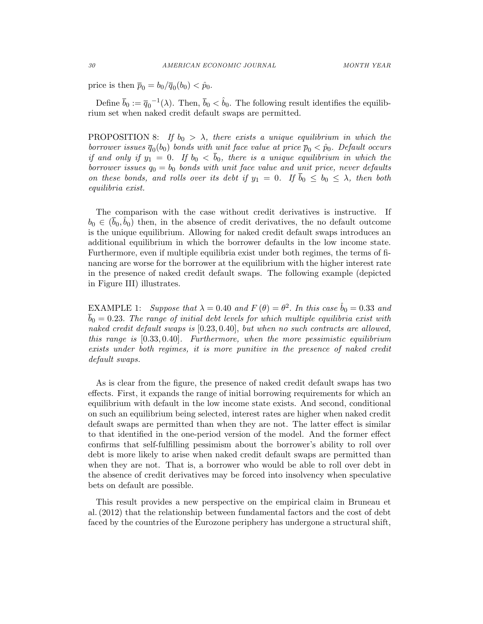price is then  $\overline{p}_0 = b_0/\overline{q}_0(b_0) < \hat{p}_0$ .

Define  $\bar{b}_0 := \bar{q}_0^{-1}(\lambda)$ . Then,  $\bar{b}_0 < \hat{b}_0$ . The following result identifies the equilibrium set when naked credit default swaps are permitted.

**PROPOSITION** 8: If  $b_0 > \lambda$ , there exists a unique equilibrium in which the borrower issues  $\overline{q}_0(b_0)$  bonds with unit face value at price  $\overline{p}_0 < \hat{p}_0$ . Default occurs if and only if  $y_1 = 0$ . If  $b_0 < \bar{b}_0$ , there is a unique equilibrium in which the borrower issues  $q_0 = b_0$  bonds with unit face value and unit price, never defaults on these bonds, and rolls over its debt if  $y_1 = 0$ . If  $\bar{b}_0 \le b_0 \le \lambda$ , then both equilibria exist.

The comparison with the case without credit derivatives is instructive. If  $b_0 \in (\bar{b}_0, \hat{b}_0)$  then, in the absence of credit derivatives, the no default outcome is the unique equilibrium. Allowing for naked credit default swaps introduces an additional equilibrium in which the borrower defaults in the low income state. Furthermore, even if multiple equilibria exist under both regimes, the terms of financing are worse for the borrower at the equilibrium with the higher interest rate in the presence of naked credit default swaps. The following example (depicted in Figure III) illustrates.

EXAMPLE 1: Suppose that  $\lambda = 0.40$  and  $F(\theta) = \theta^2$ . In this case  $\hat{b}_0 = 0.33$  and  $b_0 = 0.23$ . The range of initial debt levels for which multiple equilibria exist with naked credit default swaps is  $[0.23, 0.40]$ , but when no such contracts are allowed, this range is  $[0.33, 0.40]$ . Furthermore, when the more pessimistic equilibrium exists under both regimes, it is more punitive in the presence of naked credit default swaps.

As is clear from the figure, the presence of naked credit default swaps has two effects. First, it expands the range of initial borrowing requirements for which an equilibrium with default in the low income state exists. And second, conditional on such an equilibrium being selected, interest rates are higher when naked credit default swaps are permitted than when they are not. The latter effect is similar to that identified in the one-period version of the model. And the former effect confirms that self-fulfilling pessimism about the borrower's ability to roll over debt is more likely to arise when naked credit default swaps are permitted than when they are not. That is, a borrower who would be able to roll over debt in the absence of credit derivatives may be forced into insolvency when speculative bets on default are possible.

This result provides a new perspective on the empirical claim in Bruneau et al. (2012) that the relationship between fundamental factors and the cost of debt faced by the countries of the Eurozone periphery has undergone a structural shift,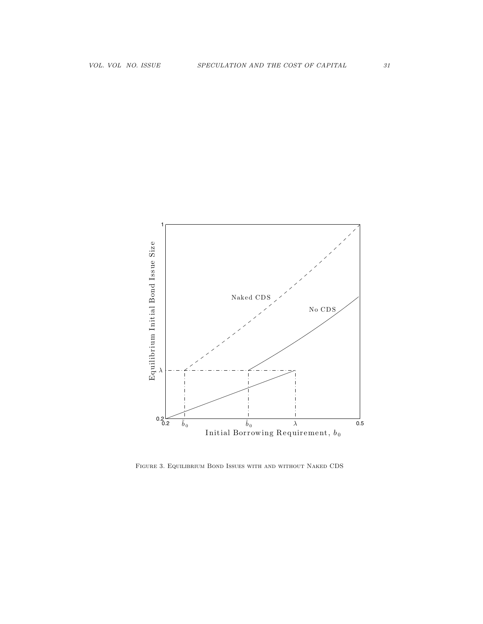

Figure 3. Equilibrium Bond Issues with and without Naked CDS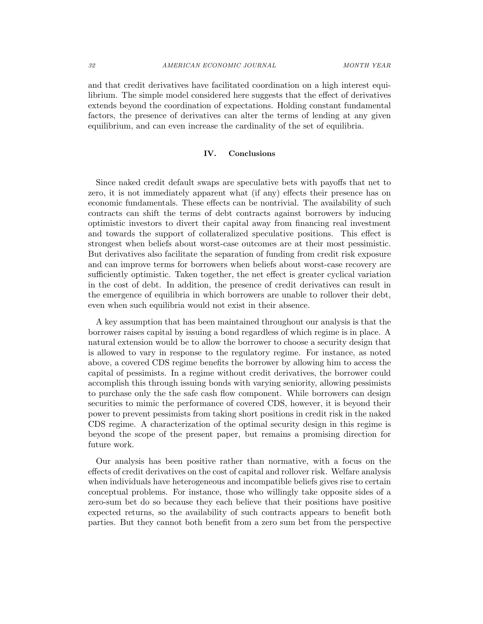and that credit derivatives have facilitated coordination on a high interest equilibrium. The simple model considered here suggests that the effect of derivatives extends beyond the coordination of expectations. Holding constant fundamental factors, the presence of derivatives can alter the terms of lending at any given equilibrium, and can even increase the cardinality of the set of equilibria.

#### IV. Conclusions

Since naked credit default swaps are speculative bets with payoffs that net to zero, it is not immediately apparent what (if any) effects their presence has on economic fundamentals. These effects can be nontrivial. The availability of such contracts can shift the terms of debt contracts against borrowers by inducing optimistic investors to divert their capital away from financing real investment and towards the support of collateralized speculative positions. This effect is strongest when beliefs about worst-case outcomes are at their most pessimistic. But derivatives also facilitate the separation of funding from credit risk exposure and can improve terms for borrowers when beliefs about worst-case recovery are sufficiently optimistic. Taken together, the net effect is greater cyclical variation in the cost of debt. In addition, the presence of credit derivatives can result in the emergence of equilibria in which borrowers are unable to rollover their debt, even when such equilibria would not exist in their absence.

A key assumption that has been maintained throughout our analysis is that the borrower raises capital by issuing a bond regardless of which regime is in place. A natural extension would be to allow the borrower to choose a security design that is allowed to vary in response to the regulatory regime. For instance, as noted above, a covered CDS regime benefits the borrower by allowing him to access the capital of pessimists. In a regime without credit derivatives, the borrower could accomplish this through issuing bonds with varying seniority, allowing pessimists to purchase only the the safe cash flow component. While borrowers can design securities to mimic the performance of covered CDS, however, it is beyond their power to prevent pessimists from taking short positions in credit risk in the naked CDS regime. A characterization of the optimal security design in this regime is beyond the scope of the present paper, but remains a promising direction for future work.

Our analysis has been positive rather than normative, with a focus on the effects of credit derivatives on the cost of capital and rollover risk. Welfare analysis when individuals have heterogeneous and incompatible beliefs gives rise to certain conceptual problems. For instance, those who willingly take opposite sides of a zero-sum bet do so because they each believe that their positions have positive expected returns, so the availability of such contracts appears to benefit both parties. But they cannot both benefit from a zero sum bet from the perspective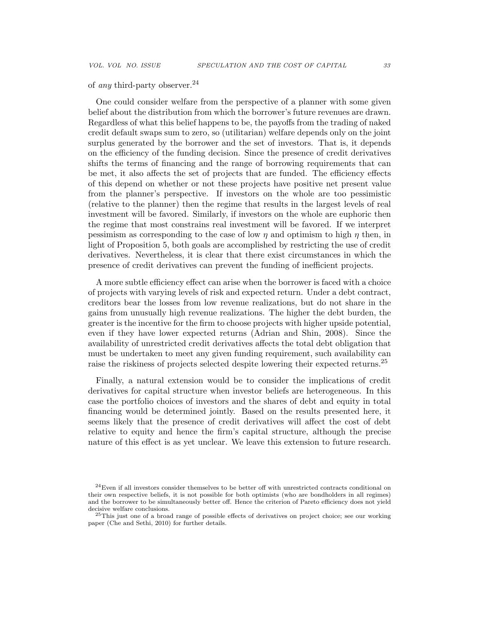## of *any* third-party observer.<sup>24</sup>

One could consider welfare from the perspective of a planner with some given belief about the distribution from which the borrower's future revenues are drawn. Regardless of what this belief happens to be, the payoffs from the trading of naked credit default swaps sum to zero, so (utilitarian) welfare depends only on the joint surplus generated by the borrower and the set of investors. That is, it depends on the efficiency of the funding decision. Since the presence of credit derivatives shifts the terms of financing and the range of borrowing requirements that can be met, it also affects the set of projects that are funded. The efficiency effects of this depend on whether or not these projects have positive net present value from the planner's perspective. If investors on the whole are too pessimistic (relative to the planner) then the regime that results in the largest levels of real investment will be favored. Similarly, if investors on the whole are euphoric then the regime that most constrains real investment will be favored. If we interpret pessimism as corresponding to the case of low  $\eta$  and optimism to high  $\eta$  then, in light of Proposition 5, both goals are accomplished by restricting the use of credit derivatives. Nevertheless, it is clear that there exist circumstances in which the presence of credit derivatives can prevent the funding of inefficient projects.

A more subtle efficiency effect can arise when the borrower is faced with a choice of projects with varying levels of risk and expected return. Under a debt contract, creditors bear the losses from low revenue realizations, but do not share in the gains from unusually high revenue realizations. The higher the debt burden, the greater is the incentive for the firm to choose projects with higher upside potential, even if they have lower expected returns (Adrian and Shin, 2008). Since the availability of unrestricted credit derivatives affects the total debt obligation that must be undertaken to meet any given funding requirement, such availability can raise the riskiness of projects selected despite lowering their expected returns.<sup>25</sup>

Finally, a natural extension would be to consider the implications of credit derivatives for capital structure when investor beliefs are heterogeneous. In this case the portfolio choices of investors and the shares of debt and equity in total financing would be determined jointly. Based on the results presented here, it seems likely that the presence of credit derivatives will affect the cost of debt relative to equity and hence the firm's capital structure, although the precise nature of this effect is as yet unclear. We leave this extension to future research.

 $24$ Even if all investors consider themselves to be better off with unrestricted contracts conditional on their own respective beliefs, it is not possible for both optimists (who are bondholders in all regimes) and the borrower to be simultaneously better off. Hence the criterion of Pareto efficiency does not yield decisive welfare conclusions.

<sup>25</sup>This just one of a broad range of possible effects of derivatives on project choice; see our working paper (Che and Sethi, 2010) for further details.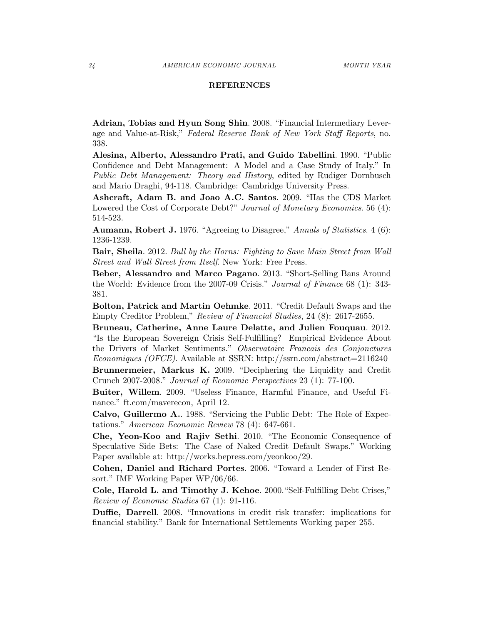#### REFERENCES

Adrian, Tobias and Hyun Song Shin. 2008. "Financial Intermediary Leverage and Value-at-Risk," Federal Reserve Bank of New York Staff Reports, no. 338.

Alesina, Alberto, Alessandro Prati, and Guido Tabellini. 1990. "Public Confidence and Debt Management: A Model and a Case Study of Italy." In Public Debt Management: Theory and History, edited by Rudiger Dornbusch and Mario Draghi, 94-118. Cambridge: Cambridge University Press.

Ashcraft, Adam B. and Joao A.C. Santos. 2009. "Has the CDS Market Lowered the Cost of Corporate Debt?" Journal of Monetary Economics. 56 (4): 514-523.

Aumann, Robert J. 1976. "Agreeing to Disagree," Annals of Statistics. 4 (6): 1236-1239.

Bair, Sheila. 2012. Bull by the Horns: Fighting to Save Main Street from Wall Street and Wall Street from Itself. New York: Free Press.

Beber, Alessandro and Marco Pagano. 2013. "Short-Selling Bans Around the World: Evidence from the 2007-09 Crisis." Journal of Finance 68 (1): 343- 381.

Bolton, Patrick and Martin Oehmke. 2011. "Credit Default Swaps and the Empty Creditor Problem," Review of Financial Studies, 24 (8): 2617-2655.

Bruneau, Catherine, Anne Laure Delatte, and Julien Fouquau. 2012. "Is the European Sovereign Crisis Self-Fulfilling? Empirical Evidence About the Drivers of Market Sentiments." Observatoire Francais des Conjonctures Economiques (OFCE). Available at SSRN: http://ssrn.com/abstract=2116240

Brunnermeier, Markus K. 2009. "Deciphering the Liquidity and Credit Crunch 2007-2008." Journal of Economic Perspectives 23 (1): 77-100.

Buiter, Willem. 2009. "Useless Finance, Harmful Finance, and Useful Finance." ft.com/maverecon, April 12.

Calvo, Guillermo A.. 1988. "Servicing the Public Debt: The Role of Expectations." American Economic Review 78 (4): 647-661.

Che, Yeon-Koo and Rajiv Sethi. 2010. "The Economic Consequence of Speculative Side Bets: The Case of Naked Credit Default Swaps." Working Paper available at: http://works.bepress.com/yeonkoo/29.

Cohen, Daniel and Richard Portes. 2006. "Toward a Lender of First Resort." IMF Working Paper WP/06/66.

Cole, Harold L. and Timothy J. Kehoe. 2000."Self-Fulfilling Debt Crises," Review of Economic Studies 67 (1): 91-116.

Duffie, Darrell. 2008. "Innovations in credit risk transfer: implications for financial stability." Bank for International Settlements Working paper 255.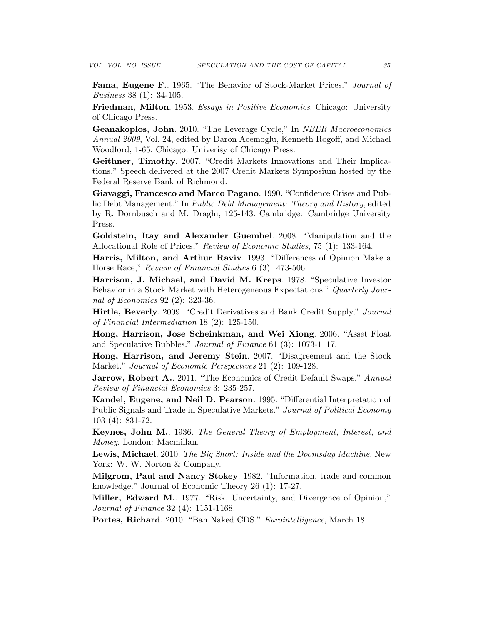Fama, Eugene F.. 1965. "The Behavior of Stock-Market Prices." Journal of Business 38 (1): 34-105.

Friedman, Milton. 1953. Essays in Positive Economics. Chicago: University of Chicago Press.

Geanakoplos, John. 2010. "The Leverage Cycle," In NBER Macroeconomics Annual 2009, Vol. 24, edited by Daron Acemoglu, Kenneth Rogoff, and Michael Woodford, 1-65. Chicago: Univerisy of Chicago Press.

Geithner, Timothy. 2007. "Credit Markets Innovations and Their Implications." Speech delivered at the 2007 Credit Markets Symposium hosted by the Federal Reserve Bank of Richmond.

Giavaggi, Francesco and Marco Pagano. 1990. "Confidence Crises and Public Debt Management." In Public Debt Management: Theory and History, edited by R. Dornbusch and M. Draghi, 125-143. Cambridge: Cambridge University Press.

Goldstein, Itay and Alexander Guembel. 2008. "Manipulation and the Allocational Role of Prices," Review of Economic Studies, 75 (1): 133-164.

Harris, Milton, and Arthur Raviv. 1993. "Differences of Opinion Make a Horse Race," Review of Financial Studies 6 (3): 473-506.

Harrison, J. Michael, and David M. Kreps. 1978. "Speculative Investor Behavior in a Stock Market with Heterogeneous Expectations." Quarterly Journal of Economics 92 (2): 323-36.

Hirtle, Beverly. 2009. "Credit Derivatives and Bank Credit Supply," Journal of Financial Intermediation 18 (2): 125-150.

Hong, Harrison, Jose Scheinkman, and Wei Xiong. 2006. "Asset Float and Speculative Bubbles." Journal of Finance 61 (3): 1073-1117.

Hong, Harrison, and Jeremy Stein. 2007. "Disagreement and the Stock Market." Journal of Economic Perspectives 21 (2): 109-128.

Jarrow, Robert A.. 2011. "The Economics of Credit Default Swaps," Annual Review of Financial Economics 3: 235-257.

Kandel, Eugene, and Neil D. Pearson. 1995. "Differential Interpretation of Public Signals and Trade in Speculative Markets." Journal of Political Economy 103 (4): 831-72.

Keynes, John M.. 1936. The General Theory of Employment, Interest, and Money. London: Macmillan.

Lewis, Michael. 2010. The Big Short: Inside and the Doomsday Machine. New York: W. W. Norton & Company.

Milgrom, Paul and Nancy Stokey. 1982. "Information, trade and common knowledge." Journal of Economic Theory 26 (1): 17-27.

Miller, Edward M.. 1977. "Risk, Uncertainty, and Divergence of Opinion," Journal of Finance 32 (4): 1151-1168.

Portes, Richard. 2010. "Ban Naked CDS," Eurointelligence, March 18.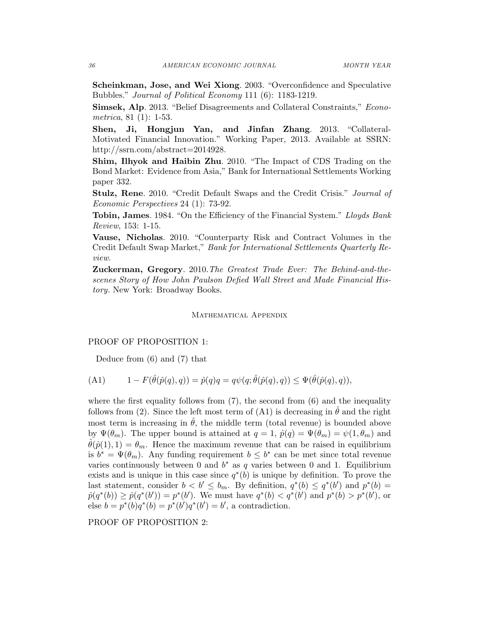Scheinkman, Jose, and Wei Xiong. 2003. "Overconfidence and Speculative Bubbles." Journal of Political Economy 111 (6): 1183-1219.

Simsek, Alp. 2013. "Belief Disagreements and Collateral Constraints," Econometrica, 81 (1): 1-53.

Shen, Ji, Hongjun Yan, and Jinfan Zhang. 2013. "Collateral-Motivated Financial Innovation." Working Paper, 2013. Available at SSRN: http://ssrn.com/abstract=2014928.

Shim, Ilhyok and Haibin Zhu. 2010. "The Impact of CDS Trading on the Bond Market: Evidence from Asia," Bank for International Settlements Working paper 332.

**Stulz, Rene.** 2010. "Credit Default Swaps and the Credit Crisis." *Journal of* Economic Perspectives 24 (1): 73-92.

Tobin, James. 1984. "On the Efficiency of the Financial System." Lloyds Bank Review, 153: 1-15.

Vause, Nicholas. 2010. "Counterparty Risk and Contract Volumes in the Credit Default Swap Market," Bank for International Settlements Quarterly Review.

Zuckerman, Gregory. 2010.The Greatest Trade Ever: The Behind-and-thescenes Story of How John Paulson Defied Wall Street and Made Financial History. New York: Broadway Books.

#### Mathematical Appendix

# PROOF OF PROPOSITION 1:

Deduce from (6) and (7) that

(A1)  $1 - F(\hat{\theta}(\hat{p}(q), q)) = \hat{p}(q)q = q\psi(q; \hat{\theta}(\hat{p}(q), q)) \leq \Psi(\hat{\theta}(\hat{p}(q), q)),$ 

where the first equality follows from  $(7)$ , the second from  $(6)$  and the inequality follows from (2). Since the left most term of (A1) is decreasing in  $\theta$  and the right most term is increasing in  $\theta$ , the middle term (total revenue) is bounded above by  $\Psi(\theta_m)$ . The upper bound is attained at  $q=1$ ,  $\hat{p}(q)=\Psi(\theta_m)=\psi(1,\theta_m)$  and  $\theta(\hat{p}(1), 1) = \theta_m$ . Hence the maximum revenue that can be raised in equilibrium is  $b^* = \Psi(\theta_m)$ . Any funding requirement  $b \leq b^*$  can be met since total revenue varies continuously between 0 and  $b^*$  as q varies between 0 and 1. Equilibrium exists and is unique in this case since  $q^*(b)$  is unique by definition. To prove the last statement, consider  $b < b' \le b_m$ . By definition,  $q^*(b) \le q^*(b')$  and  $p^*(b) =$  $\hat{p}(q^*(b)) \geq \hat{p}(q^*(b')) = p^*(b')$ . We must have  $q^*(b) < q^*(b')$  and  $p^*(b) > p^*(b')$ , or else  $b = p^*(b)q^*(b) = p^*(b')q^*(b') = b'$ , a contradiction.

PROOF OF PROPOSITION 2: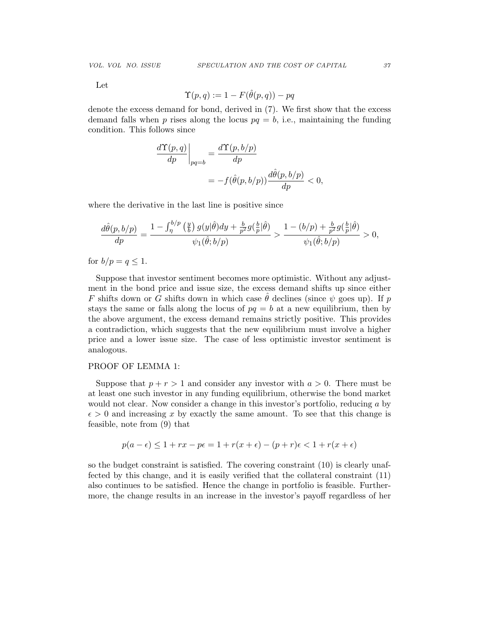Let

$$
\Upsilon(p,q):=1-F(\hat{\theta}(p,q))-pq
$$

denote the excess demand for bond, derived in (7). We first show that the excess demand falls when p rises along the locus  $pq = b$ , i.e., maintaining the funding condition. This follows since

$$
\frac{d\Upsilon(p,q)}{dp}\bigg|_{pq=b} = \frac{d\Upsilon(p,b/p)}{dp}
$$
  
=  $-f(\hat{\theta}(p,b/p))\frac{d\hat{\theta}(p,b/p)}{dp} < 0,$ 

where the derivative in the last line is positive since

$$
\frac{d\hat{\theta}(p, b/p)}{dp} = \frac{1 - \int_{\eta}^{b/p} \left(\frac{y}{b}\right) g(y|\hat{\theta}) dy + \frac{b}{p^2} g\left(\frac{b}{p}|\hat{\theta}\right)}{\psi_1(\hat{\theta}; b/p)} > \frac{1 - (b/p) + \frac{b}{p^2} g\left(\frac{b}{p}|\hat{\theta}\right)}{\psi_1(\hat{\theta}; b/p)} > 0,
$$

for  $b/p = q \leq 1$ .

Suppose that investor sentiment becomes more optimistic. Without any adjustment in the bond price and issue size, the excess demand shifts up since either F shifts down or G shifts down in which case  $\hat{\theta}$  declines (since  $\psi$  goes up). If p stays the same or falls along the locus of  $pq = b$  at a new equilibrium, then by the above argument, the excess demand remains strictly positive. This provides a contradiction, which suggests that the new equilibrium must involve a higher price and a lower issue size. The case of less optimistic investor sentiment is analogous.

## PROOF OF LEMMA 1:

Suppose that  $p + r > 1$  and consider any investor with  $a > 0$ . There must be at least one such investor in any funding equilibrium, otherwise the bond market would not clear. Now consider a change in this investor's portfolio, reducing a by  $\epsilon > 0$  and increasing x by exactly the same amount. To see that this change is feasible, note from (9) that

$$
p(a - \epsilon) \le 1 + rx - p\epsilon = 1 + r(x + \epsilon) - (p + r)\epsilon < 1 + r(x + \epsilon)
$$

so the budget constraint is satisfied. The covering constraint (10) is clearly unaffected by this change, and it is easily verified that the collateral constraint (11) also continues to be satisfied. Hence the change in portfolio is feasible. Furthermore, the change results in an increase in the investor's payoff regardless of her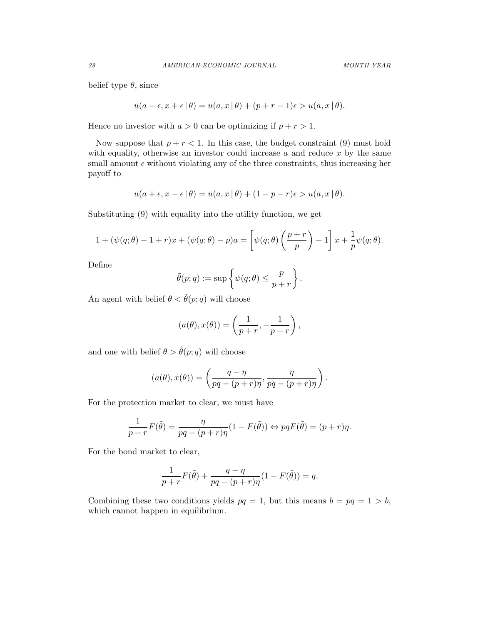belief type  $\theta$ , since

$$
u(a - \epsilon, x + \epsilon | \theta) = u(a, x | \theta) + (p + r - 1)\epsilon > u(a, x | \theta).
$$

Hence no investor with  $a > 0$  can be optimizing if  $p + r > 1$ .

Now suppose that  $p + r < 1$ . In this case, the budget constraint (9) must hold with equality, otherwise an investor could increase  $a$  and reduce  $x$  by the same small amount  $\epsilon$  without violating any of the three constraints, thus increasing her payoff to

$$
u(a+\epsilon,x-\epsilon | \theta) = u(a,x | \theta) + (1-p-r)\epsilon > u(a,x | \theta).
$$

Substituting (9) with equality into the utility function, we get

$$
1 + (\psi(q; \theta) - 1 + r)x + (\psi(q; \theta) - p)a = \left[\psi(q; \theta)\left(\frac{p+r}{p}\right) - 1\right]x + \frac{1}{p}\psi(q; \theta).
$$

Define

$$
\tilde{\theta}(p;q) := \sup \left\{ \psi(q;\theta) \leq \frac{p}{p+r} \right\}.
$$

An agent with belief  $\theta < \tilde{\theta}(p; q)$  will choose

$$
(a(\theta), x(\theta)) = \left(\frac{1}{p+r}, -\frac{1}{p+r}\right),\,
$$

and one with belief  $\theta > \tilde{\theta}(p; q)$  will choose

$$
(a(\theta), x(\theta)) = \left(\frac{q-\eta}{pq-(p+r)\eta}, \frac{\eta}{pq-(p+r)\eta}\right).
$$

For the protection market to clear, we must have

$$
\frac{1}{p+r}F(\tilde{\theta}) = \frac{\eta}{pq - (p+r)\eta}(1 - F(\tilde{\theta})) \Leftrightarrow pqF(\tilde{\theta}) = (p+r)\eta.
$$

For the bond market to clear,

$$
\frac{1}{p+r}F(\tilde{\theta}) + \frac{q-\eta}{pq-(p+r)\eta}(1-F(\tilde{\theta})) = q.
$$

Combining these two conditions yields  $pq = 1$ , but this means  $b = pq = 1 > b$ , which cannot happen in equilibrium.